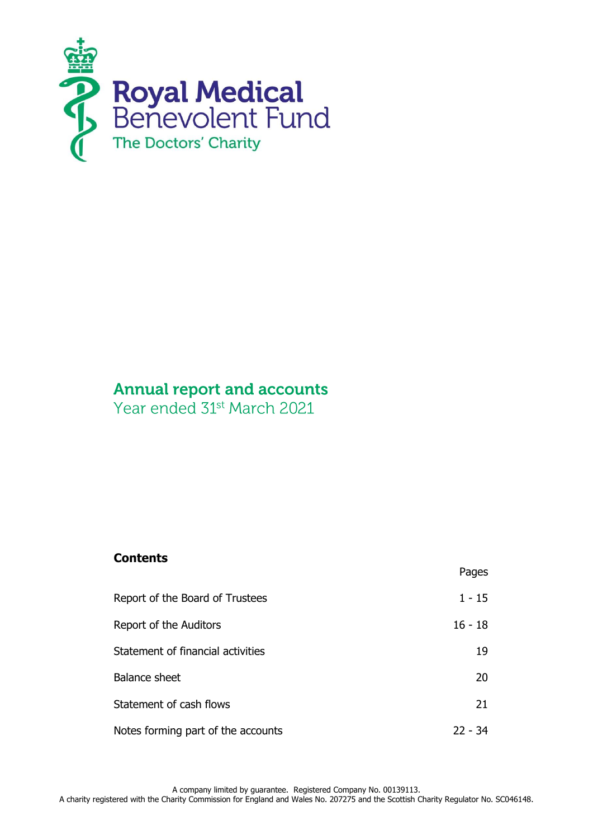

# **Annual report and accounts**

Year ended 31<sup>st</sup> March 2021

# **Contents**

|                                    | Pages     |
|------------------------------------|-----------|
| Report of the Board of Trustees    | $1 - 15$  |
| Report of the Auditors             | $16 - 18$ |
| Statement of financial activities  | 19        |
| <b>Balance sheet</b>               | 20        |
| Statement of cash flows            | 21        |
| Notes forming part of the accounts | $22 - 34$ |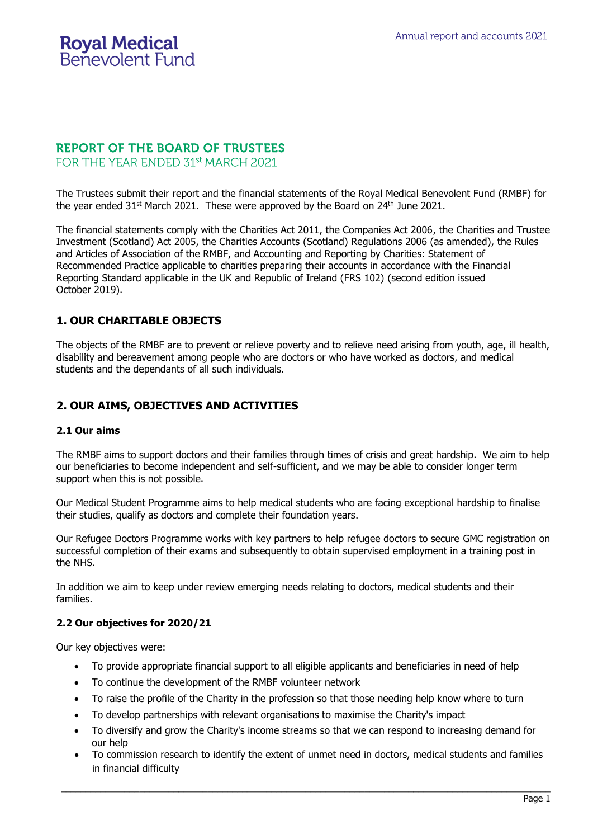# **REPORT OF THE BOARD OF TRUSTEES**

FOR THE YEAR ENDED 31st MARCH 2021

The Trustees submit their report and the financial statements of the Royal Medical Benevolent Fund (RMBF) for the year ended 31<sup>st</sup> March 2021. These were approved by the Board on 24<sup>th</sup> June 2021.

The financial statements comply with the Charities Act 2011, the Companies Act 2006, the Charities and Trustee Investment (Scotland) Act 2005, the Charities Accounts (Scotland) Regulations 2006 (as amended), the Rules and Articles of Association of the RMBF, and Accounting and Reporting by Charities: Statement of Recommended Practice applicable to charities preparing their accounts in accordance with the Financial Reporting Standard applicable in the UK and Republic of Ireland (FRS 102) (second edition issued October 2019).

# **1. OUR CHARITABLE OBJECTS**

The objects of the RMBF are to prevent or relieve poverty and to relieve need arising from youth, age, ill health, disability and bereavement among people who are doctors or who have worked as doctors, and medical students and the dependants of all such individuals.

# **2. OUR AIMS, OBJECTIVES AND ACTIVITIES**

### **2.1 Our aims**

The RMBF aims to support doctors and their families through times of crisis and great hardship. We aim to help our beneficiaries to become independent and self-sufficient, and we may be able to consider longer term support when this is not possible.

Our Medical Student Programme aims to help medical students who are facing exceptional hardship to finalise their studies, qualify as doctors and complete their foundation years.

Our Refugee Doctors Programme works with key partners to help refugee doctors to secure GMC registration on successful completion of their exams and subsequently to obtain supervised employment in a training post in the NHS.

In addition we aim to keep under review emerging needs relating to doctors, medical students and their families.

### **2.2 Our objectives for 2020/21**

Our key objectives were:

- To provide appropriate financial support to all eligible applicants and beneficiaries in need of help
- To continue the development of the RMBF volunteer network
- To raise the profile of the Charity in the profession so that those needing help know where to turn
- To develop partnerships with relevant organisations to maximise the Charity's impact
- To diversify and grow the Charity's income streams so that we can respond to increasing demand for our help
- To commission research to identify the extent of unmet need in doctors, medical students and families in financial difficulty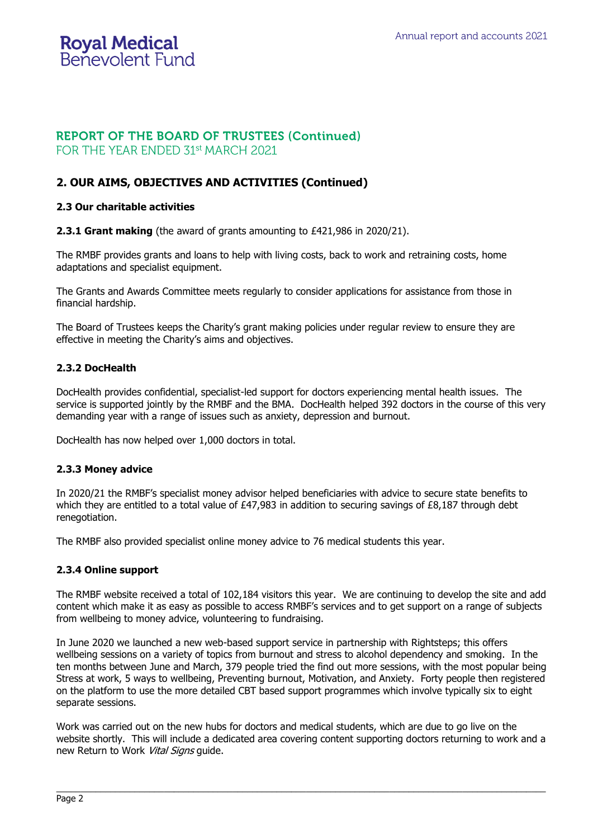## **REPORT OF THE BOARD OF TRUSTEES (Continued)** FOR THE YEAR ENDED 31st MARCH 2021

## **2. OUR AIMS, OBJECTIVES AND ACTIVITIES (Continued)**

### **2.3 Our charitable activities**

**2.3.1 Grant making** (the award of grants amounting to £421,986 in 2020/21).

The RMBF provides grants and loans to help with living costs, back to work and retraining costs, home adaptations and specialist equipment.

The Grants and Awards Committee meets regularly to consider applications for assistance from those in financial hardship.

The Board of Trustees keeps the Charity's grant making policies under regular review to ensure they are effective in meeting the Charity's aims and objectives.

### **2.3.2 DocHealth**

DocHealth provides confidential, specialist-led support for doctors experiencing mental health issues. The service is supported jointly by the RMBF and the BMA. DocHealth helped 392 doctors in the course of this very demanding year with a range of issues such as anxiety, depression and burnout.

DocHealth has now helped over 1,000 doctors in total.

#### **2.3.3 Money advice**

In 2020/21 the RMBF's specialist money advisor helped beneficiaries with advice to secure state benefits to which they are entitled to a total value of £47,983 in addition to securing savings of £8,187 through debt renegotiation.

The RMBF also provided specialist online money advice to 76 medical students this year.

#### **2.3.4 Online support**

The RMBF website received a total of 102,184 visitors this year. We are continuing to develop the site and add content which make it as easy as possible to access RMBF's services and to get support on a range of subjects from wellbeing to money advice, volunteering to fundraising.

In June 2020 we launched a new web-based support service in partnership with Rightsteps; this offers wellbeing sessions on a variety of topics from burnout and stress to alcohol dependency and smoking. In the ten months between June and March, 379 people tried the find out more sessions, with the most popular being Stress at work, 5 ways to wellbeing, Preventing burnout, Motivation, and Anxiety. Forty people then registered on the platform to use the more detailed CBT based support programmes which involve typically six to eight separate sessions.

Work was carried out on the new hubs for doctors and medical students, which are due to go live on the website shortly. This will include a dedicated area covering content supporting doctors returning to work and a new Return to Work Vital Signs guide.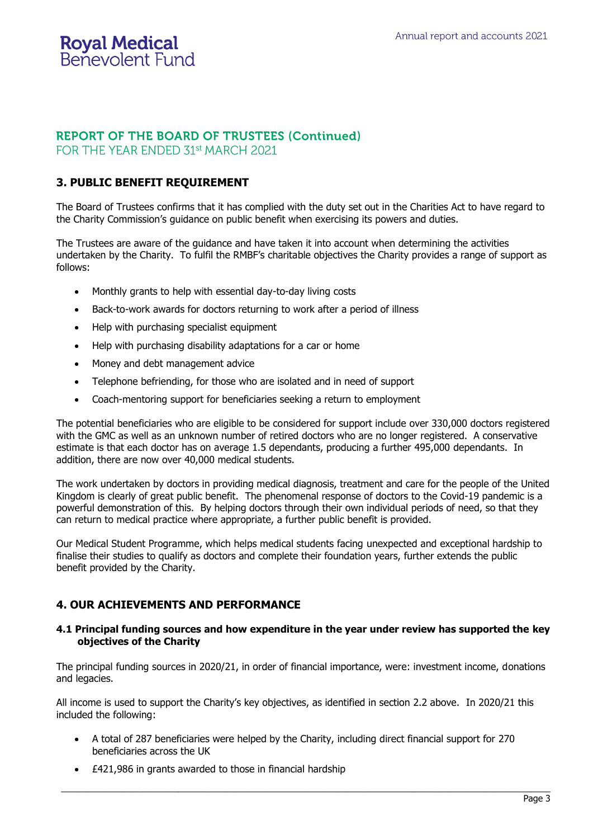# **REPORT OF THE BOARD OF TRUSTEES (Continued)**

FOR THE YEAR ENDED 31st MARCH 2021

# **3. PUBLIC BENEFIT REQUIREMENT**

The Board of Trustees confirms that it has complied with the duty set out in the Charities Act to have regard to the Charity Commission's guidance on public benefit when exercising its powers and duties.

The Trustees are aware of the guidance and have taken it into account when determining the activities undertaken by the Charity. To fulfil the RMBF's charitable objectives the Charity provides a range of support as follows:

- Monthly grants to help with essential day-to-day living costs
- Back-to-work awards for doctors returning to work after a period of illness
- Help with purchasing specialist equipment
- Help with purchasing disability adaptations for a car or home
- Money and debt management advice
- Telephone befriending, for those who are isolated and in need of support
- Coach-mentoring support for beneficiaries seeking a return to employment

The potential beneficiaries who are eligible to be considered for support include over 330,000 doctors registered with the GMC as well as an unknown number of retired doctors who are no longer registered. A conservative estimate is that each doctor has on average 1.5 dependants, producing a further 495,000 dependants. In addition, there are now over 40,000 medical students.

The work undertaken by doctors in providing medical diagnosis, treatment and care for the people of the United Kingdom is clearly of great public benefit. The phenomenal response of doctors to the Covid-19 pandemic is a powerful demonstration of this. By helping doctors through their own individual periods of need, so that they can return to medical practice where appropriate, a further public benefit is provided.

Our Medical Student Programme, which helps medical students facing unexpected and exceptional hardship to finalise their studies to qualify as doctors and complete their foundation years, further extends the public benefit provided by the Charity.

# **4. OUR ACHIEVEMENTS AND PERFORMANCE**

### **4.1 Principal funding sources and how expenditure in the year under review has supported the key objectives of the Charity**

The principal funding sources in 2020/21, in order of financial importance, were: investment income, donations and legacies.

All income is used to support the Charity's key objectives, as identified in section 2.2 above. In 2020/21 this included the following:

• A total of 287 beneficiaries were helped by the Charity, including direct financial support for 270 beneficiaries across the UK

\_\_\_\_\_\_\_\_\_\_\_\_\_\_\_\_\_\_\_\_\_\_\_\_\_\_\_\_\_\_\_\_\_\_\_\_\_\_\_\_\_\_\_\_\_\_\_\_\_\_\_\_\_\_\_\_\_\_\_\_\_\_\_\_\_\_\_\_\_\_\_\_\_\_\_\_\_\_\_\_\_\_\_\_\_\_\_\_\_\_\_\_\_\_\_\_\_\_\_\_

• £421,986 in grants awarded to those in financial hardship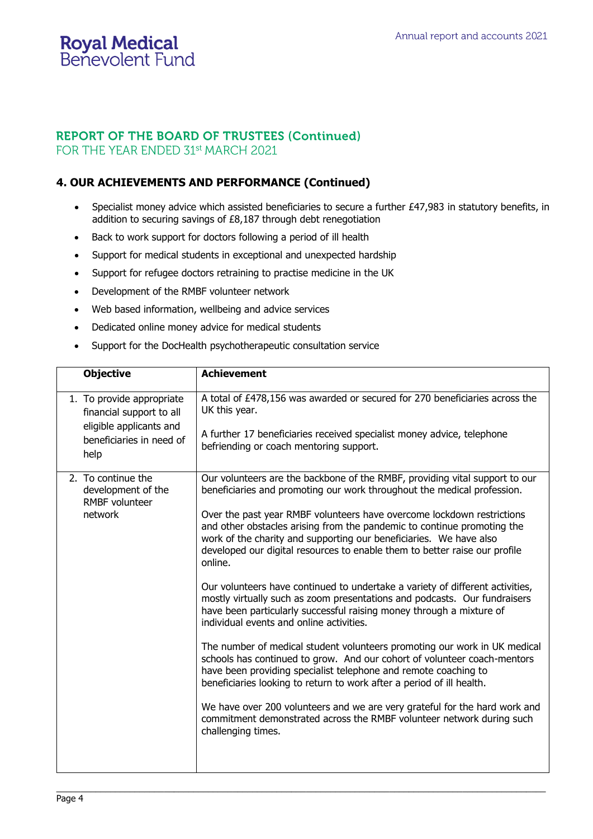# **REPORT OF THE BOARD OF TRUSTEES (Continued)**

FOR THE YEAR ENDED 31st MARCH 2021

# **4. OUR ACHIEVEMENTS AND PERFORMANCE (Continued)**

- Specialist money advice which assisted beneficiaries to secure a further £47,983 in statutory benefits, in addition to securing savings of £8,187 through debt renegotiation
- Back to work support for doctors following a period of ill health
- Support for medical students in exceptional and unexpected hardship
- Support for refugee doctors retraining to practise medicine in the UK
- Development of the RMBF volunteer network
- Web based information, wellbeing and advice services
- Dedicated online money advice for medical students
- Support for the DocHealth psychotherapeutic consultation service

|         | <b>Objective</b>                                                                                             | <b>Achievement</b>                                                                                                                                                                                                                                                                                                                                                                                                                                                                                                                                                                                                                                                                                                                                                                                                                                                                                                                                                                                                                                                                                                                                                                                                                             |
|---------|--------------------------------------------------------------------------------------------------------------|------------------------------------------------------------------------------------------------------------------------------------------------------------------------------------------------------------------------------------------------------------------------------------------------------------------------------------------------------------------------------------------------------------------------------------------------------------------------------------------------------------------------------------------------------------------------------------------------------------------------------------------------------------------------------------------------------------------------------------------------------------------------------------------------------------------------------------------------------------------------------------------------------------------------------------------------------------------------------------------------------------------------------------------------------------------------------------------------------------------------------------------------------------------------------------------------------------------------------------------------|
| help    | 1. To provide appropriate<br>financial support to all<br>eligible applicants and<br>beneficiaries in need of | A total of £478,156 was awarded or secured for 270 beneficiaries across the<br>UK this year.<br>A further 17 beneficiaries received specialist money advice, telephone<br>befriending or coach mentoring support.                                                                                                                                                                                                                                                                                                                                                                                                                                                                                                                                                                                                                                                                                                                                                                                                                                                                                                                                                                                                                              |
| network | 2. To continue the<br>development of the<br><b>RMBF</b> volunteer                                            | Our volunteers are the backbone of the RMBF, providing vital support to our<br>beneficiaries and promoting our work throughout the medical profession.<br>Over the past year RMBF volunteers have overcome lockdown restrictions<br>and other obstacles arising from the pandemic to continue promoting the<br>work of the charity and supporting our beneficiaries. We have also<br>developed our digital resources to enable them to better raise our profile<br>online.<br>Our volunteers have continued to undertake a variety of different activities,<br>mostly virtually such as zoom presentations and podcasts. Our fundraisers<br>have been particularly successful raising money through a mixture of<br>individual events and online activities.<br>The number of medical student volunteers promoting our work in UK medical<br>schools has continued to grow. And our cohort of volunteer coach-mentors<br>have been providing specialist telephone and remote coaching to<br>beneficiaries looking to return to work after a period of ill health.<br>We have over 200 volunteers and we are very grateful for the hard work and<br>commitment demonstrated across the RMBF volunteer network during such<br>challenging times. |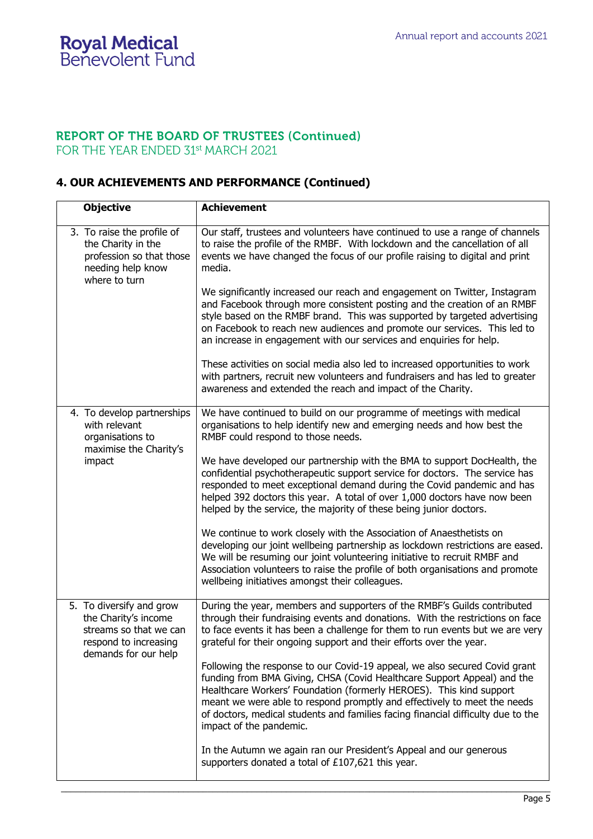### **REPORT OF THE BOARD OF TRUSTEES (Continued)** FOR THE YEAR ENDED 31st MARCH 2021

# **4. OUR ACHIEVEMENTS AND PERFORMANCE (Continued)**

| <b>Objective</b>                                                                                                            | <b>Achievement</b>                                                                                                                                                                                                                                                                                                                                                                                                      |
|-----------------------------------------------------------------------------------------------------------------------------|-------------------------------------------------------------------------------------------------------------------------------------------------------------------------------------------------------------------------------------------------------------------------------------------------------------------------------------------------------------------------------------------------------------------------|
| 3. To raise the profile of<br>the Charity in the<br>profession so that those<br>needing help know<br>where to turn          | Our staff, trustees and volunteers have continued to use a range of channels<br>to raise the profile of the RMBF. With lockdown and the cancellation of all<br>events we have changed the focus of our profile raising to digital and print<br>media.                                                                                                                                                                   |
|                                                                                                                             | We significantly increased our reach and engagement on Twitter, Instagram<br>and Facebook through more consistent posting and the creation of an RMBF<br>style based on the RMBF brand. This was supported by targeted advertising<br>on Facebook to reach new audiences and promote our services. This led to<br>an increase in engagement with our services and enquiries for help.                                   |
|                                                                                                                             | These activities on social media also led to increased opportunities to work<br>with partners, recruit new volunteers and fundraisers and has led to greater<br>awareness and extended the reach and impact of the Charity.                                                                                                                                                                                             |
| 4. To develop partnerships<br>with relevant<br>organisations to<br>maximise the Charity's                                   | We have continued to build on our programme of meetings with medical<br>organisations to help identify new and emerging needs and how best the<br>RMBF could respond to those needs.                                                                                                                                                                                                                                    |
| impact                                                                                                                      | We have developed our partnership with the BMA to support DocHealth, the<br>confidential psychotherapeutic support service for doctors. The service has<br>responded to meet exceptional demand during the Covid pandemic and has<br>helped 392 doctors this year. A total of over 1,000 doctors have now been<br>helped by the service, the majority of these being junior doctors.                                    |
|                                                                                                                             | We continue to work closely with the Association of Anaesthetists on<br>developing our joint wellbeing partnership as lockdown restrictions are eased.<br>We will be resuming our joint volunteering initiative to recruit RMBF and<br>Association volunteers to raise the profile of both organisations and promote<br>wellbeing initiatives amongst their colleagues.                                                 |
| 5. To diversify and grow<br>the Charity's income<br>streams so that we can<br>respond to increasing<br>demands for our help | During the year, members and supporters of the RMBF's Guilds contributed<br>through their fundraising events and donations. With the restrictions on face<br>to face events it has been a challenge for them to run events but we are very<br>grateful for their ongoing support and their efforts over the year.                                                                                                       |
|                                                                                                                             | Following the response to our Covid-19 appeal, we also secured Covid grant<br>funding from BMA Giving, CHSA (Covid Healthcare Support Appeal) and the<br>Healthcare Workers' Foundation (formerly HEROES). This kind support<br>meant we were able to respond promptly and effectively to meet the needs<br>of doctors, medical students and families facing financial difficulty due to the<br>impact of the pandemic. |
|                                                                                                                             | In the Autumn we again ran our President's Appeal and our generous<br>supporters donated a total of £107,621 this year.                                                                                                                                                                                                                                                                                                 |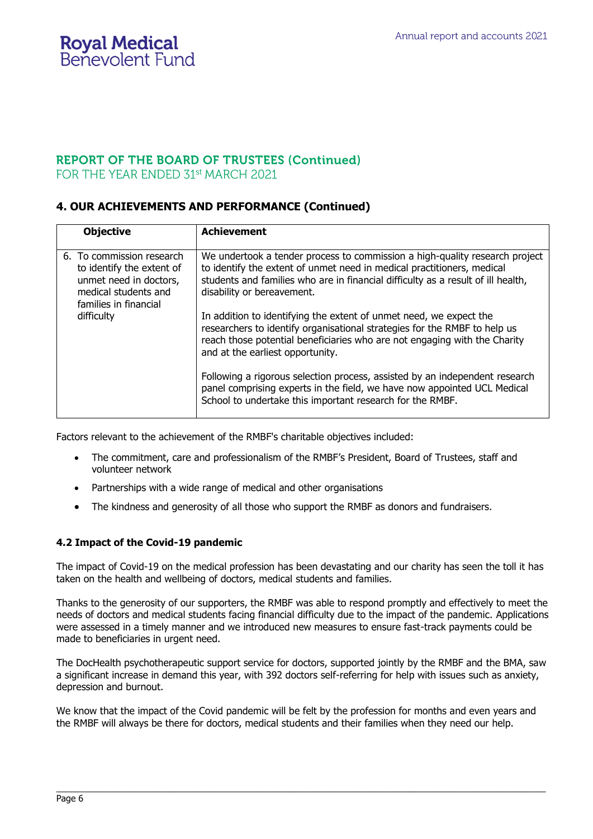# **REPORT OF THE BOARD OF TRUSTEES (Continued)** FOR THE YEAR ENDED 31st MARCH 2021

# **4. OUR ACHIEVEMENTS AND PERFORMANCE (Continued)**

| <b>Objective</b>                                                                                                                  | <b>Achievement</b>                                                                                                                                                                                                                                                      |
|-----------------------------------------------------------------------------------------------------------------------------------|-------------------------------------------------------------------------------------------------------------------------------------------------------------------------------------------------------------------------------------------------------------------------|
| 6. To commission research<br>to identify the extent of<br>unmet need in doctors,<br>medical students and<br>families in financial | We undertook a tender process to commission a high-quality research project<br>to identify the extent of unmet need in medical practitioners, medical<br>students and families who are in financial difficulty as a result of ill health,<br>disability or bereavement. |
| difficulty                                                                                                                        | In addition to identifying the extent of unmet need, we expect the<br>researchers to identify organisational strategies for the RMBF to help us<br>reach those potential beneficiaries who are not engaging with the Charity<br>and at the earliest opportunity.        |
|                                                                                                                                   | Following a rigorous selection process, assisted by an independent research<br>panel comprising experts in the field, we have now appointed UCL Medical<br>School to undertake this important research for the RMBF.                                                    |

Factors relevant to the achievement of the RMBF's charitable objectives included:

- The commitment, care and professionalism of the RMBF's President, Board of Trustees, staff and volunteer network
- Partnerships with a wide range of medical and other organisations
- The kindness and generosity of all those who support the RMBF as donors and fundraisers.

### **4.2 Impact of the Covid-19 pandemic**

The impact of Covid-19 on the medical profession has been devastating and our charity has seen the toll it has taken on the health and wellbeing of doctors, medical students and families.

Thanks to the generosity of our supporters, the RMBF was able to respond promptly and effectively to meet the needs of doctors and medical students facing financial difficulty due to the impact of the pandemic. Applications were assessed in a timely manner and we introduced new measures to ensure fast-track payments could be made to beneficiaries in urgent need.

The DocHealth psychotherapeutic support service for doctors, supported jointly by the RMBF and the BMA, saw a significant increase in demand this year, with 392 doctors self-referring for help with issues such as anxiety, depression and burnout.

We know that the impact of the Covid pandemic will be felt by the profession for months and even years and the RMBF will always be there for doctors, medical students and their families when they need our help.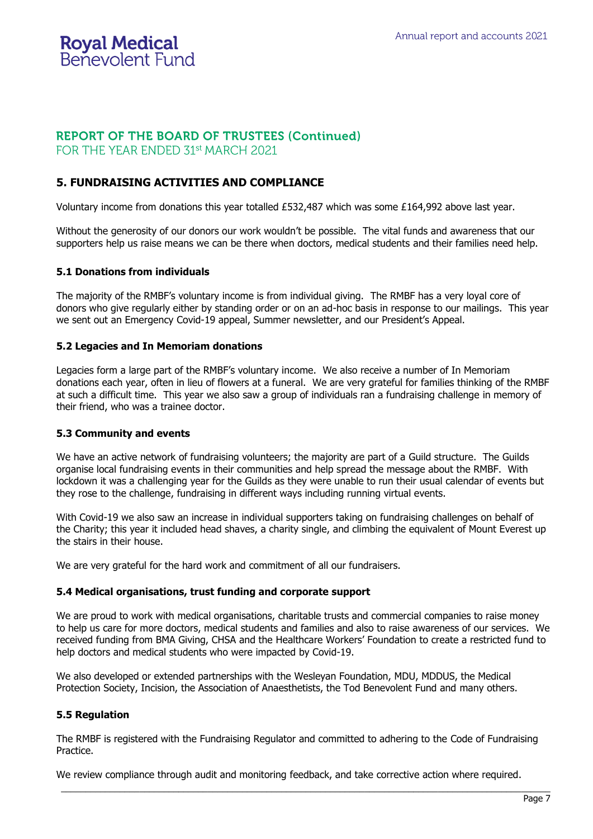# **REPORT OF THE BOARD OF TRUSTEES (Continued)**

FOR THE YEAR ENDED 31st MARCH 2021

# **5. FUNDRAISING ACTIVITIES AND COMPLIANCE**

Voluntary income from donations this year totalled £532,487 which was some £164,992 above last year.

Without the generosity of our donors our work wouldn't be possible. The vital funds and awareness that our supporters help us raise means we can be there when doctors, medical students and their families need help.

### **5.1 Donations from individuals**

The majority of the RMBF's voluntary income is from individual giving. The RMBF has a very loyal core of donors who give regularly either by standing order or on an ad-hoc basis in response to our mailings. This year we sent out an Emergency Covid-19 appeal, Summer newsletter, and our President's Appeal.

### **5.2 Legacies and In Memoriam donations**

Legacies form a large part of the RMBF's voluntary income. We also receive a number of In Memoriam donations each year, often in lieu of flowers at a funeral. We are very grateful for families thinking of the RMBF at such a difficult time. This year we also saw a group of individuals ran a fundraising challenge in memory of their friend, who was a trainee doctor.

### **5.3 Community and events**

We have an active network of fundraising volunteers; the majority are part of a Guild structure. The Guilds organise local fundraising events in their communities and help spread the message about the RMBF. With lockdown it was a challenging year for the Guilds as they were unable to run their usual calendar of events but they rose to the challenge, fundraising in different ways including running virtual events.

With Covid-19 we also saw an increase in individual supporters taking on fundraising challenges on behalf of the Charity; this year it included head shaves, a charity single, and climbing the equivalent of Mount Everest up the stairs in their house.

We are very grateful for the hard work and commitment of all our fundraisers.

### **5.4 Medical organisations, trust funding and corporate support**

We are proud to work with medical organisations, charitable trusts and commercial companies to raise money to help us care for more doctors, medical students and families and also to raise awareness of our services. We received funding from BMA Giving, CHSA and the Healthcare Workers' Foundation to create a restricted fund to help doctors and medical students who were impacted by Covid-19.

We also developed or extended partnerships with the Wesleyan Foundation, MDU, MDDUS, the Medical Protection Society, Incision, the Association of Anaesthetists, the Tod Benevolent Fund and many others.

### **5.5 Regulation**

The RMBF is registered with the Fundraising Regulator and committed to adhering to the Code of Fundraising Practice.

\_\_\_\_\_\_\_\_\_\_\_\_\_\_\_\_\_\_\_\_\_\_\_\_\_\_\_\_\_\_\_\_\_\_\_\_\_\_\_\_\_\_\_\_\_\_\_\_\_\_\_\_\_\_\_\_\_\_\_\_\_\_\_\_\_\_\_\_\_\_\_\_\_\_\_\_\_\_\_\_\_\_\_\_\_\_\_\_\_\_\_\_\_\_\_\_\_\_\_\_

We review compliance through audit and monitoring feedback, and take corrective action where required.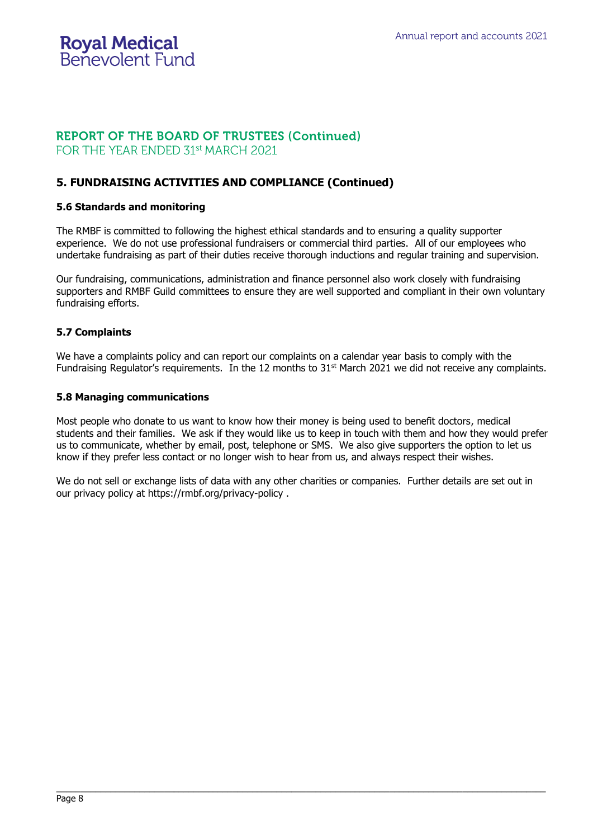### **REPORT OF THE BOARD OF TRUSTEES (Continued)** FOR THE YEAR ENDED 31st MARCH 2021

### **5. FUNDRAISING ACTIVITIES AND COMPLIANCE (Continued)**

### **5.6 Standards and monitoring**

The RMBF is committed to following the highest ethical standards and to ensuring a quality supporter experience. We do not use professional fundraisers or commercial third parties. All of our employees who undertake fundraising as part of their duties receive thorough inductions and regular training and supervision.

Our fundraising, communications, administration and finance personnel also work closely with fundraising supporters and RMBF Guild committees to ensure they are well supported and compliant in their own voluntary fundraising efforts.

### **5.7 Complaints**

We have a complaints policy and can report our complaints on a calendar year basis to comply with the Fundraising Regulator's requirements. In the 12 months to  $31<sup>st</sup>$  March 2021 we did not receive any complaints.

### **5.8 Managing communications**

Most people who donate to us want to know how their money is being used to benefit doctors, medical students and their families. We ask if they would like us to keep in touch with them and how they would prefer us to communicate, whether by email, post, telephone or SMS. We also give supporters the option to let us know if they prefer less contact or no longer wish to hear from us, and always respect their wishes.

We do not sell or exchange lists of data with any other charities or companies. Further details are set out in our privacy policy at [https://rmbf.org/privacy-policy](https://rmbf.org/privacy-policy/) .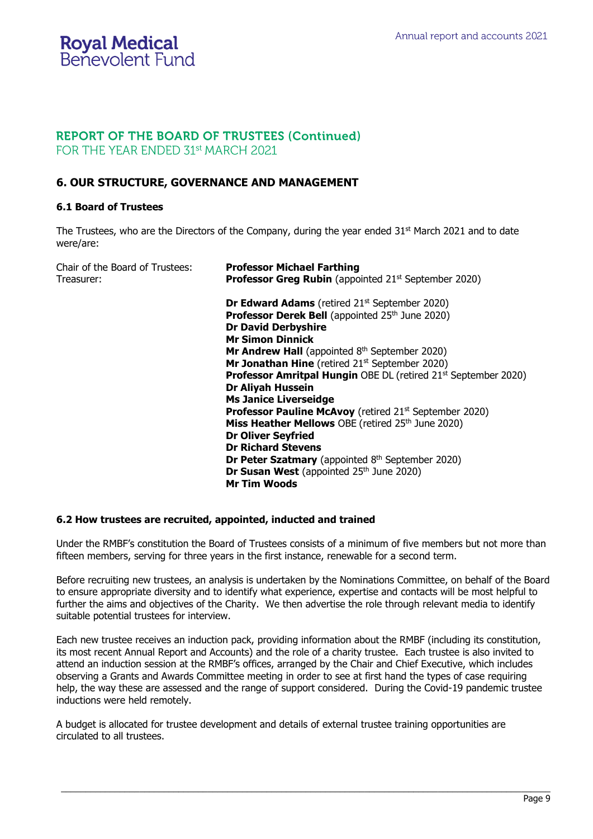### **REPORT OF THE BOARD OF TRUSTEES (Continued)** FOR THE YEAR ENDED 31st MARCH 2021

### **6. OUR STRUCTURE, GOVERNANCE AND MANAGEMENT**

### **6.1 Board of Trustees**

The Trustees, who are the Directors of the Company, during the year ended  $31<sup>st</sup>$  March 2021 and to date were/are:

| Chair of the Board of Trustees:<br>Treasurer: | <b>Professor Michael Farthing</b><br>Professor Greg Rubin (appointed 21st September 2020) |  |  |  |  |
|-----------------------------------------------|-------------------------------------------------------------------------------------------|--|--|--|--|
|                                               | <b>Dr Edward Adams</b> (retired 21 <sup>st</sup> September 2020)                          |  |  |  |  |
|                                               | Professor Derek Bell (appointed 25th June 2020)                                           |  |  |  |  |
|                                               | <b>Dr David Derbyshire</b>                                                                |  |  |  |  |
|                                               | <b>Mr Simon Dinnick</b>                                                                   |  |  |  |  |
|                                               | <b>Mr Andrew Hall</b> (appointed $8th$ September 2020)                                    |  |  |  |  |
|                                               | <b>Mr Jonathan Hine</b> (retired $21st$ September 2020)                                   |  |  |  |  |
|                                               | <b>Professor Amritpal Hungin OBE DL (retired 21st September 2020)</b>                     |  |  |  |  |
|                                               | <b>Dr Aliyah Hussein</b>                                                                  |  |  |  |  |
|                                               | <b>Ms Janice Liverseidge</b>                                                              |  |  |  |  |
|                                               | <b>Professor Pauline McAvoy</b> (retired 21 <sup>st</sup> September 2020)                 |  |  |  |  |
|                                               | Miss Heather Mellows OBE (retired 25th June 2020)                                         |  |  |  |  |
|                                               | <b>Dr Oliver Seyfried</b>                                                                 |  |  |  |  |
|                                               | <b>Dr Richard Stevens</b>                                                                 |  |  |  |  |
|                                               | Dr Peter Szatmary (appointed 8th September 2020)                                          |  |  |  |  |
|                                               | Dr Susan West (appointed 25th June 2020)                                                  |  |  |  |  |
|                                               | <b>Mr Tim Woods</b>                                                                       |  |  |  |  |

#### **6.2 How trustees are recruited, appointed, inducted and trained**

Under the RMBF's constitution the Board of Trustees consists of a minimum of five members but not more than fifteen members, serving for three years in the first instance, renewable for a second term.

Before recruiting new trustees, an analysis is undertaken by the Nominations Committee, on behalf of the Board to ensure appropriate diversity and to identify what experience, expertise and contacts will be most helpful to further the aims and objectives of the Charity. We then advertise the role through relevant media to identify suitable potential trustees for interview.

Each new trustee receives an induction pack, providing information about the RMBF (including its constitution, its most recent Annual Report and Accounts) and the role of a charity trustee. Each trustee is also invited to attend an induction session at the RMBF's offices, arranged by the Chair and Chief Executive, which includes observing a Grants and Awards Committee meeting in order to see at first hand the types of case requiring help, the way these are assessed and the range of support considered. During the Covid-19 pandemic trustee inductions were held remotely.

\_\_\_\_\_\_\_\_\_\_\_\_\_\_\_\_\_\_\_\_\_\_\_\_\_\_\_\_\_\_\_\_\_\_\_\_\_\_\_\_\_\_\_\_\_\_\_\_\_\_\_\_\_\_\_\_\_\_\_\_\_\_\_\_\_\_\_\_\_\_\_\_\_\_\_\_\_\_\_\_\_\_\_\_\_\_\_\_\_\_\_\_\_\_\_\_\_\_\_\_

A budget is allocated for trustee development and details of external trustee training opportunities are circulated to all trustees.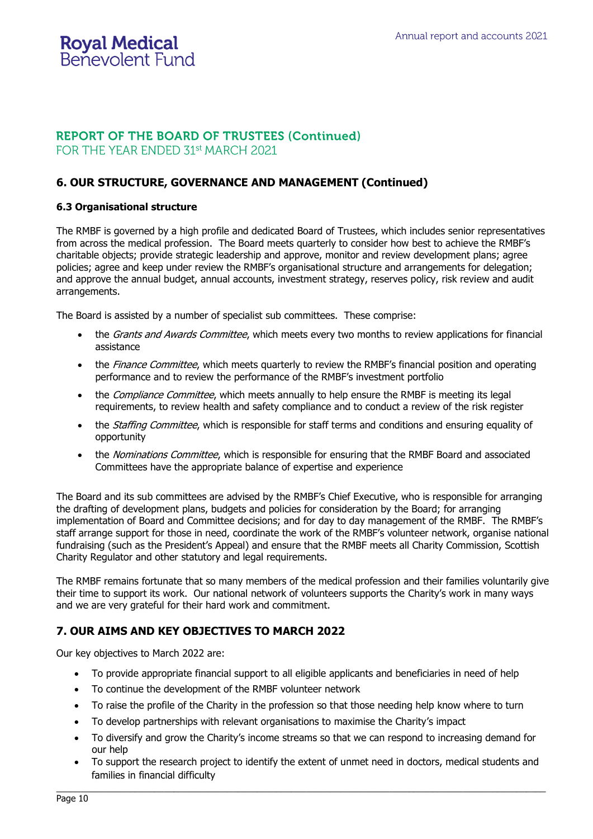## **REPORT OF THE BOARD OF TRUSTEES (Continued)** FOR THE YEAR ENDED 31st MARCH 2021

### **6. OUR STRUCTURE, GOVERNANCE AND MANAGEMENT (Continued)**

### **6.3 Organisational structure**

The RMBF is governed by a high profile and dedicated Board of Trustees, which includes senior representatives from across the medical profession. The Board meets quarterly to consider how best to achieve the RMBF's charitable objects; provide strategic leadership and approve, monitor and review development plans; agree policies; agree and keep under review the RMBF's organisational structure and arrangements for delegation; and approve the annual budget, annual accounts, investment strategy, reserves policy, risk review and audit arrangements.

The Board is assisted by a number of specialist sub committees. These comprise:

- the Grants and Awards Committee, which meets every two months to review applications for financial assistance
- the Finance Committee, which meets quarterly to review the RMBF's financial position and operating performance and to review the performance of the RMBF's investment portfolio
- the *Compliance Committee*, which meets annually to help ensure the RMBF is meeting its legal requirements, to review health and safety compliance and to conduct a review of the risk register
- the *Staffing Committee*, which is responsible for staff terms and conditions and ensuring equality of opportunity
- the Nominations Committee, which is responsible for ensuring that the RMBF Board and associated Committees have the appropriate balance of expertise and experience

The Board and its sub committees are advised by the RMBF's Chief Executive, who is responsible for arranging the drafting of development plans, budgets and policies for consideration by the Board; for arranging implementation of Board and Committee decisions; and for day to day management of the RMBF. The RMBF's staff arrange support for those in need, coordinate the work of the RMBF's volunteer network, organise national fundraising (such as the President's Appeal) and ensure that the RMBF meets all Charity Commission, Scottish Charity Regulator and other statutory and legal requirements.

The RMBF remains fortunate that so many members of the medical profession and their families voluntarily give their time to support its work. Our national network of volunteers supports the Charity's work in many ways and we are very grateful for their hard work and commitment.

### **7. OUR AIMS AND KEY OBJECTIVES TO MARCH 2022**

Our key objectives to March 2022 are:

- To provide appropriate financial support to all eligible applicants and beneficiaries in need of help
- To continue the development of the RMBF volunteer network
- To raise the profile of the Charity in the profession so that those needing help know where to turn
- To develop partnerships with relevant organisations to maximise the Charity's impact
- To diversify and grow the Charity's income streams so that we can respond to increasing demand for our help
- To support the research project to identify the extent of unmet need in doctors, medical students and families in financial difficulty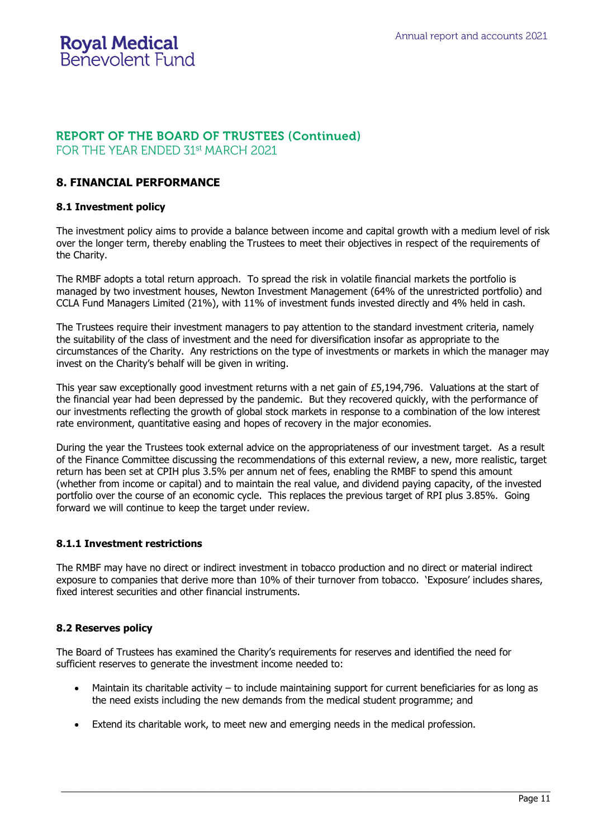### **REPORT OF THE BOARD OF TRUSTEES (Continued)** FOR THE YEAR ENDED 31st MARCH 2021

# **8. FINANCIAL PERFORMANCE**

### **8.1 Investment policy**

The investment policy aims to provide a balance between income and capital growth with a medium level of risk over the longer term, thereby enabling the Trustees to meet their objectives in respect of the requirements of the Charity.

The RMBF adopts a total return approach. To spread the risk in volatile financial markets the portfolio is managed by two investment houses, Newton Investment Management (64% of the unrestricted portfolio) and CCLA Fund Managers Limited (21%), with 11% of investment funds invested directly and 4% held in cash.

The Trustees require their investment managers to pay attention to the standard investment criteria, namely the suitability of the class of investment and the need for diversification insofar as appropriate to the circumstances of the Charity. Any restrictions on the type of investments or markets in which the manager may invest on the Charity's behalf will be given in writing.

This year saw exceptionally good investment returns with a net gain of £5,194,796. Valuations at the start of the financial year had been depressed by the pandemic. But they recovered quickly, with the performance of our investments reflecting the growth of global stock markets in response to a combination of the low interest rate environment, quantitative easing and hopes of recovery in the major economies.

During the year the Trustees took external advice on the appropriateness of our investment target. As a result of the Finance Committee discussing the recommendations of this external review, a new, more realistic, target return has been set at CPIH plus 3.5% per annum net of fees, enabling the RMBF to spend this amount (whether from income or capital) and to maintain the real value, and dividend paying capacity, of the invested portfolio over the course of an economic cycle. This replaces the previous target of RPI plus 3.85%. Going forward we will continue to keep the target under review.

### **8.1.1 Investment restrictions**

The RMBF may have no direct or indirect investment in tobacco production and no direct or material indirect exposure to companies that derive more than 10% of their turnover from tobacco. 'Exposure' includes shares, fixed interest securities and other financial instruments.

### **8.2 Reserves policy**

The Board of Trustees has examined the Charity's requirements for reserves and identified the need for sufficient reserves to generate the investment income needed to:

• Maintain its charitable activity – to include maintaining support for current beneficiaries for as long as the need exists including the new demands from the medical student programme; and

\_\_\_\_\_\_\_\_\_\_\_\_\_\_\_\_\_\_\_\_\_\_\_\_\_\_\_\_\_\_\_\_\_\_\_\_\_\_\_\_\_\_\_\_\_\_\_\_\_\_\_\_\_\_\_\_\_\_\_\_\_\_\_\_\_\_\_\_\_\_\_\_\_\_\_\_\_\_\_\_\_\_\_\_\_\_\_\_\_\_\_\_\_\_\_\_\_\_\_\_

Extend its charitable work, to meet new and emerging needs in the medical profession.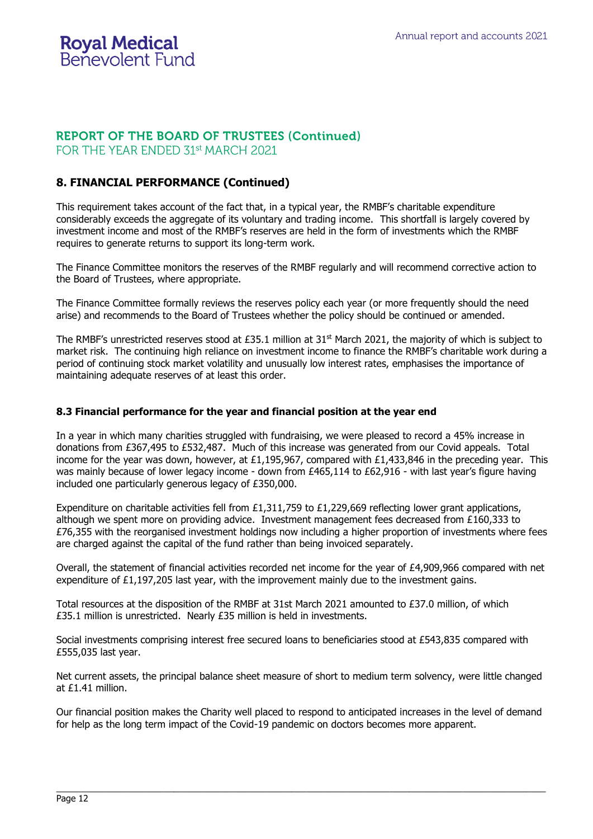# **REPORT OF THE BOARD OF TRUSTEES (Continued)**

FOR THE YEAR ENDED 31st MARCH 2021

# **8. FINANCIAL PERFORMANCE (Continued)**

This requirement takes account of the fact that, in a typical year, the RMBF's charitable expenditure considerably exceeds the aggregate of its voluntary and trading income. This shortfall is largely covered by investment income and most of the RMBF's reserves are held in the form of investments which the RMBF requires to generate returns to support its long-term work.

The Finance Committee monitors the reserves of the RMBF regularly and will recommend corrective action to the Board of Trustees, where appropriate.

The Finance Committee formally reviews the reserves policy each year (or more frequently should the need arise) and recommends to the Board of Trustees whether the policy should be continued or amended.

The RMBF's unrestricted reserves stood at £35.1 million at 31<sup>st</sup> March 2021, the majority of which is subject to market risk. The continuing high reliance on investment income to finance the RMBF's charitable work during a period of continuing stock market volatility and unusually low interest rates, emphasises the importance of maintaining adequate reserves of at least this order.

### **8.3 Financial performance for the year and financial position at the year end**

In a year in which many charities struggled with fundraising, we were pleased to record a 45% increase in donations from £367,495 to £532,487. Much of this increase was generated from our Covid appeals. Total income for the year was down, however, at £1,195,967, compared with £1,433,846 in the preceding year. This was mainly because of lower legacy income - down from £465,114 to £62,916 - with last year's figure having included one particularly generous legacy of £350,000.

Expenditure on charitable activities fell from £1,311,759 to £1,229,669 reflecting lower grant applications, although we spent more on providing advice. Investment management fees decreased from  $£160,333$  to £76,355 with the reorganised investment holdings now including a higher proportion of investments where fees are charged against the capital of the fund rather than being invoiced separately.

Overall, the statement of financial activities recorded net income for the year of £4,909,966 compared with net expenditure of £1,197,205 last year, with the improvement mainly due to the investment gains.

Total resources at the disposition of the RMBF at 31st March 2021 amounted to £37.0 million, of which £35.1 million is unrestricted. Nearly £35 million is held in investments.

Social investments comprising interest free secured loans to beneficiaries stood at £543,835 compared with £555,035 last year.

Net current assets, the principal balance sheet measure of short to medium term solvency, were little changed at £1.41 million.

Our financial position makes the Charity well placed to respond to anticipated increases in the level of demand for help as the long term impact of the Covid-19 pandemic on doctors becomes more apparent.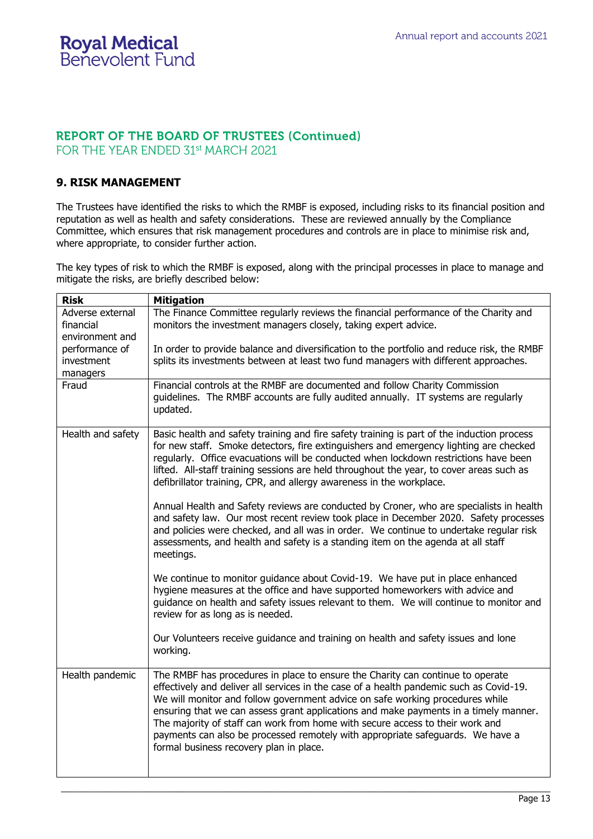# **REPORT OF THE BOARD OF TRUSTEES (Continued)**

FOR THE YEAR ENDED 31st MARCH 2021

### **9. RISK MANAGEMENT**

The Trustees have identified the risks to which the RMBF is exposed, including risks to its financial position and reputation as well as health and safety considerations. These are reviewed annually by the Compliance Committee, which ensures that risk management procedures and controls are in place to minimise risk and, where appropriate, to consider further action.

The key types of risk to which the RMBF is exposed, along with the principal processes in place to manage and mitigate the risks, are briefly described below:

| <b>Risk</b>                                      | <b>Mitigation</b>                                                                                                                                                                                                                                                                                                                                                                                                                                                                                                                                                |
|--------------------------------------------------|------------------------------------------------------------------------------------------------------------------------------------------------------------------------------------------------------------------------------------------------------------------------------------------------------------------------------------------------------------------------------------------------------------------------------------------------------------------------------------------------------------------------------------------------------------------|
| Adverse external<br>financial<br>environment and | The Finance Committee regularly reviews the financial performance of the Charity and<br>monitors the investment managers closely, taking expert advice.                                                                                                                                                                                                                                                                                                                                                                                                          |
| performance of<br>investment<br>managers         | In order to provide balance and diversification to the portfolio and reduce risk, the RMBF<br>splits its investments between at least two fund managers with different approaches.                                                                                                                                                                                                                                                                                                                                                                               |
| Fraud                                            | Financial controls at the RMBF are documented and follow Charity Commission<br>guidelines. The RMBF accounts are fully audited annually. IT systems are regularly<br>updated.                                                                                                                                                                                                                                                                                                                                                                                    |
| Health and safety                                | Basic health and safety training and fire safety training is part of the induction process<br>for new staff. Smoke detectors, fire extinguishers and emergency lighting are checked<br>regularly. Office evacuations will be conducted when lockdown restrictions have been<br>lifted. All-staff training sessions are held throughout the year, to cover areas such as<br>defibrillator training, CPR, and allergy awareness in the workplace.                                                                                                                  |
|                                                  | Annual Health and Safety reviews are conducted by Croner, who are specialists in health<br>and safety law. Our most recent review took place in December 2020. Safety processes<br>and policies were checked, and all was in order. We continue to undertake regular risk<br>assessments, and health and safety is a standing item on the agenda at all staff<br>meetings.                                                                                                                                                                                       |
|                                                  | We continue to monitor guidance about Covid-19. We have put in place enhanced<br>hygiene measures at the office and have supported homeworkers with advice and<br>guidance on health and safety issues relevant to them. We will continue to monitor and<br>review for as long as is needed.                                                                                                                                                                                                                                                                     |
|                                                  | Our Volunteers receive guidance and training on health and safety issues and lone<br>working.                                                                                                                                                                                                                                                                                                                                                                                                                                                                    |
| Health pandemic                                  | The RMBF has procedures in place to ensure the Charity can continue to operate<br>effectively and deliver all services in the case of a health pandemic such as Covid-19.<br>We will monitor and follow government advice on safe working procedures while<br>ensuring that we can assess grant applications and make payments in a timely manner.<br>The majority of staff can work from home with secure access to their work and<br>payments can also be processed remotely with appropriate safeguards. We have a<br>formal business recovery plan in place. |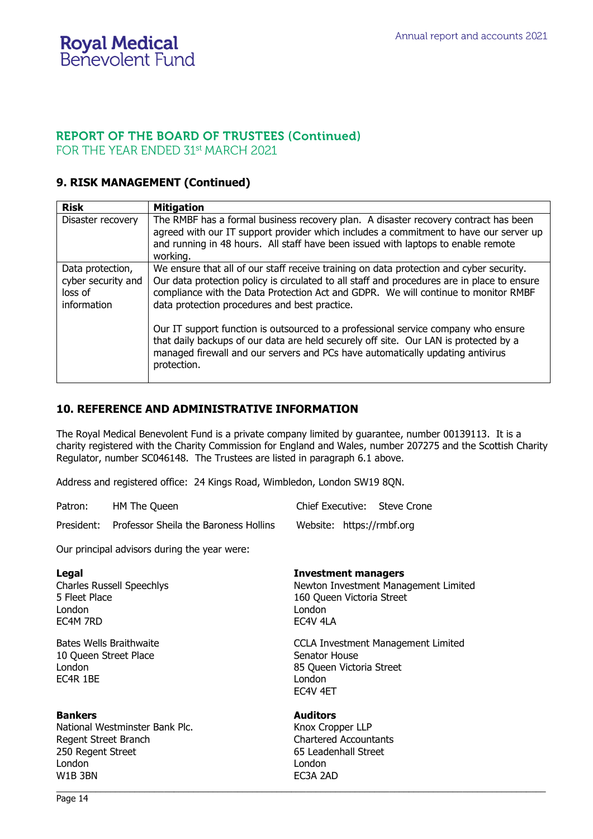# **REPORT OF THE BOARD OF TRUSTEES (Continued)**

FOR THE YEAR ENDED 31st MARCH 2021

### **9. RISK MANAGEMENT (Continued)**

| <b>Risk</b>                                                      | <b>Mitigation</b>                                                                                                                                                                                                                                                                                                             |
|------------------------------------------------------------------|-------------------------------------------------------------------------------------------------------------------------------------------------------------------------------------------------------------------------------------------------------------------------------------------------------------------------------|
| Disaster recovery                                                | The RMBF has a formal business recovery plan. A disaster recovery contract has been<br>agreed with our IT support provider which includes a commitment to have our server up<br>and running in 48 hours. All staff have been issued with laptops to enable remote<br>working.                                                 |
| Data protection,<br>cyber security and<br>loss of<br>information | We ensure that all of our staff receive training on data protection and cyber security.<br>Our data protection policy is circulated to all staff and procedures are in place to ensure<br>compliance with the Data Protection Act and GDPR. We will continue to monitor RMBF<br>data protection procedures and best practice. |
|                                                                  | Our IT support function is outsourced to a professional service company who ensure<br>that daily backups of our data are held securely off site. Our LAN is protected by a<br>managed firewall and our servers and PCs have automatically updating antivirus<br>protection.                                                   |

### **10. REFERENCE AND ADMINISTRATIVE INFORMATION**

W1B 3BN EC3A 2AD

The Royal Medical Benevolent Fund is a private company limited by guarantee, number 00139113. It is a charity registered with the Charity Commission for England and Wales, number 207275 and the Scottish Charity Regulator, number SC046148. The Trustees are listed in paragraph 6.1 above.

\_\_\_\_\_\_\_\_\_\_\_\_\_\_\_\_\_\_\_\_\_\_\_\_\_\_\_\_\_\_\_\_\_\_\_\_\_\_\_\_\_\_\_\_\_\_\_\_\_\_\_\_\_\_\_\_\_\_\_\_\_\_\_\_\_\_\_\_\_\_\_\_\_\_\_\_\_\_\_\_\_\_\_\_\_\_\_\_\_\_\_\_\_\_\_\_\_\_\_\_

Address and registered office: 24 Kings Road, Wimbledon, London SW19 8QN.

| Patron:                                                               | HM The Queen                                                               | Chief Executive: Steve Crone                                                                                              |
|-----------------------------------------------------------------------|----------------------------------------------------------------------------|---------------------------------------------------------------------------------------------------------------------------|
|                                                                       | President: Professor Sheila the Baroness Hollins Website: https://rmbf.org |                                                                                                                           |
|                                                                       | Our principal advisors during the year were:                               |                                                                                                                           |
| Legal<br>5 Fleet Place<br>London<br>EC4M 7RD                          | <b>Charles Russell Speechlys</b>                                           | Investment managers<br>Newton Investment Management Limited<br>160 Queen Victoria Street<br>London<br>EC4V <sub>4LA</sub> |
| London<br>EC4R 1BE                                                    | Bates Wells Braithwaite<br>10 Queen Street Place                           | <b>CCLA Investment Management Limited</b><br>Senator House<br>85 Queen Victoria Street<br>London<br>EC4V 4ET              |
| <b>Bankers</b><br>Regent Street Branch<br>250 Regent Street<br>London | National Westminster Bank Plc.                                             | <b>Auditors</b><br>Knox Cropper LLP<br><b>Chartered Accountants</b><br>65 Leadenhall Street<br>London                     |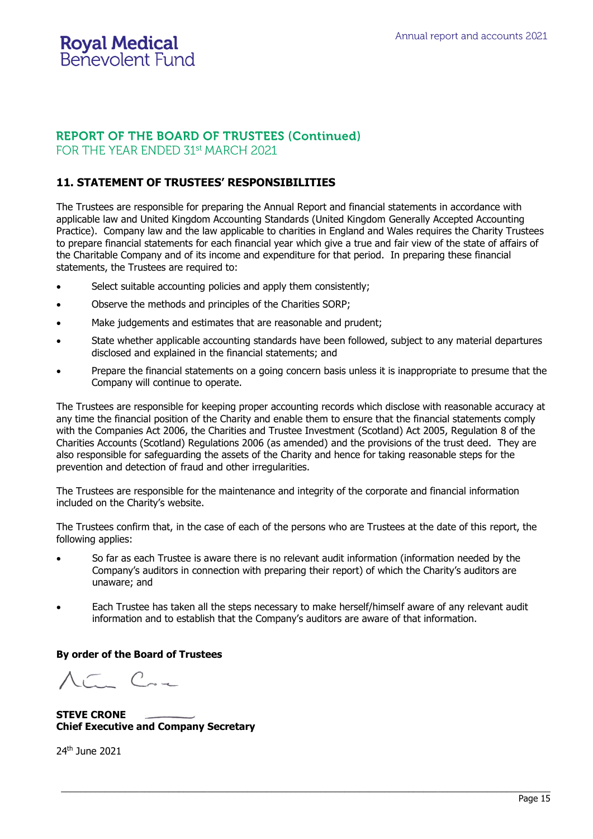# **REPORT OF THE BOARD OF TRUSTEES (Continued)**

FOR THE YEAR ENDED 31st MARCH 2021

# **11. STATEMENT OF TRUSTEES' RESPONSIBILITIES**

The Trustees are responsible for preparing the Annual Report and financial statements in accordance with applicable law and United Kingdom Accounting Standards (United Kingdom Generally Accepted Accounting Practice). Company law and the law applicable to charities in England and Wales requires the Charity Trustees to prepare financial statements for each financial year which give a true and fair view of the state of affairs of the Charitable Company and of its income and expenditure for that period. In preparing these financial statements, the Trustees are required to:

- Select suitable accounting policies and apply them consistently;
- Observe the methods and principles of the Charities SORP;
- Make judgements and estimates that are reasonable and prudent;
- State whether applicable accounting standards have been followed, subject to any material departures disclosed and explained in the financial statements; and
- Prepare the financial statements on a going concern basis unless it is inappropriate to presume that the Company will continue to operate.

The Trustees are responsible for keeping proper accounting records which disclose with reasonable accuracy at any time the financial position of the Charity and enable them to ensure that the financial statements comply with the Companies Act 2006, the Charities and Trustee Investment (Scotland) Act 2005, Regulation 8 of the Charities Accounts (Scotland) Regulations 2006 (as amended) and the provisions of the trust deed. They are also responsible for safeguarding the assets of the Charity and hence for taking reasonable steps for the prevention and detection of fraud and other irregularities.

The Trustees are responsible for the maintenance and integrity of the corporate and financial information included on the Charity's website.

The Trustees confirm that, in the case of each of the persons who are Trustees at the date of this report, the following applies:

- So far as each Trustee is aware there is no relevant audit information (information needed by the Company's auditors in connection with preparing their report) of which the Charity's auditors are unaware; and
- Each Trustee has taken all the steps necessary to make herself/himself aware of any relevant audit information and to establish that the Company's auditors are aware of that information.

\_\_\_\_\_\_\_\_\_\_\_\_\_\_\_\_\_\_\_\_\_\_\_\_\_\_\_\_\_\_\_\_\_\_\_\_\_\_\_\_\_\_\_\_\_\_\_\_\_\_\_\_\_\_\_\_\_\_\_\_\_\_\_\_\_\_\_\_\_\_\_\_\_\_\_\_\_\_\_\_\_\_\_\_\_\_\_\_\_\_\_\_\_\_\_\_\_\_\_\_

### **By order of the Board of Trustees**

 $C_{\alpha}$ 

**STEVE CRONE Chief Executive and Company Secretary**

24<sup>th</sup> June 2021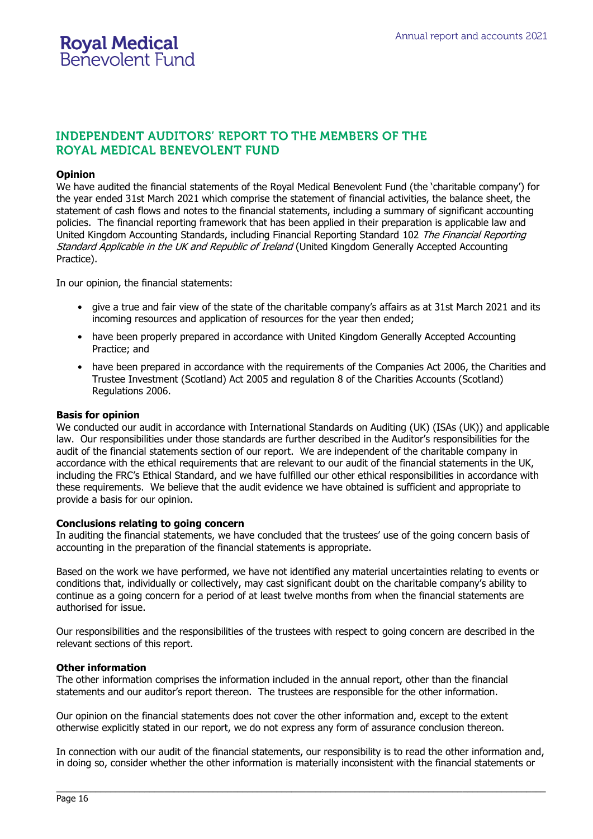# **INDEPENDENT AUDITORS' REPORT TO THE MEMBERS OF THE** ROYAL MEDICAL BENEVOLENT FUND

### **Opinion**

We have audited the financial statements of the Royal Medical Benevolent Fund (the 'charitable company') for the year ended 31st March 2021 which comprise the statement of financial activities, the balance sheet, the statement of cash flows and notes to the financial statements, including a summary of significant accounting policies. The financial reporting framework that has been applied in their preparation is applicable law and United Kingdom Accounting Standards, including Financial Reporting Standard 102 The Financial Reporting Standard Applicable in the UK and Republic of Ireland (United Kingdom Generally Accepted Accounting Practice).

In our opinion, the financial statements:

- give a true and fair view of the state of the charitable company's affairs as at 31st March 2021 and its incoming resources and application of resources for the year then ended;
- have been properly prepared in accordance with United Kingdom Generally Accepted Accounting Practice; and
- have been prepared in accordance with the requirements of the Companies Act 2006, the Charities and Trustee Investment (Scotland) Act 2005 and regulation 8 of the Charities Accounts (Scotland) Regulations 2006.

#### **Basis for opinion**

We conducted our audit in accordance with International Standards on Auditing (UK) (ISAs (UK)) and applicable law. Our responsibilities under those standards are further described in the Auditor's responsibilities for the audit of the financial statements section of our report. We are independent of the charitable company in accordance with the ethical requirements that are relevant to our audit of the financial statements in the UK, including the FRC's Ethical Standard, and we have fulfilled our other ethical responsibilities in accordance with these requirements. We believe that the audit evidence we have obtained is sufficient and appropriate to provide a basis for our opinion.

#### **Conclusions relating to going concern**

In auditing the financial statements, we have concluded that the trustees' use of the going concern basis of accounting in the preparation of the financial statements is appropriate.

Based on the work we have performed, we have not identified any material uncertainties relating to events or conditions that, individually or collectively, may cast significant doubt on the charitable company's ability to continue as a going concern for a period of at least twelve months from when the financial statements are authorised for issue.

Our responsibilities and the responsibilities of the trustees with respect to going concern are described in the relevant sections of this report.

#### **Other information**

The other information comprises the information included in the annual report, other than the financial statements and our auditor's report thereon. The trustees are responsible for the other information.

Our opinion on the financial statements does not cover the other information and, except to the extent otherwise explicitly stated in our report, we do not express any form of assurance conclusion thereon.

In connection with our audit of the financial statements, our responsibility is to read the other information and, in doing so, consider whether the other information is materially inconsistent with the financial statements or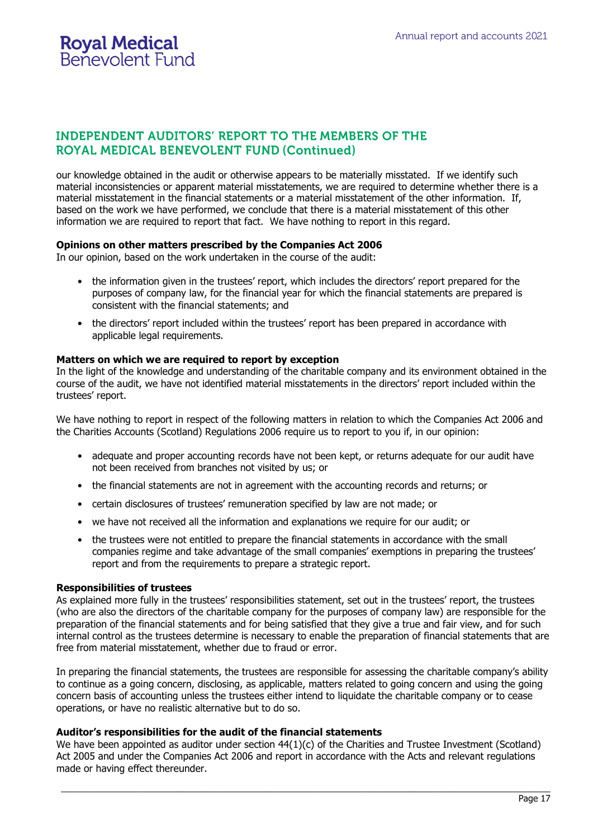# **INDEPENDENT AUDITORS' REPORT TO THE MEMBERS OF THE ROYAL MEDICAL BENEVOLENT FUND (Continued)**

our knowledge obtained in the audit or otherwise appears to be materially misstated. If we identify such material inconsistencies or apparent material misstatements, we are required to determine whether there is a material misstatement in the financial statements or a material misstatement of the other information. If, based on the work we have performed, we conclude that there is a material misstatement of this other information we are required to report that fact. We have nothing to report in this regard.

### **Opinions on other matters prescribed by the Companies Act 2006**

In our opinion, based on the work undertaken in the course of the audit:

- the information given in the trustees' report, which includes the directors' report prepared for the purposes of company law, for the financial year for which the financial statements are prepared is consistent with the financial statements; and
- the directors' report included within the trustees' report has been prepared in accordance with applicable legal requirements.

### **Matters on which we are required to report by exception**

In the light of the knowledge and understanding of the charitable company and its environment obtained in the course of the audit, we have not identified material misstatements in the directors' report included within the trustees' report.

We have nothing to report in respect of the following matters in relation to which the Companies Act 2006 and the Charities Accounts (Scotland) Regulations 2006 require us to report to you if, in our opinion:

- adequate and proper accounting records have not been kept, or returns adequate for our audit have not been received from branches not visited by us; or
- the financial statements are not in agreement with the accounting records and returns; or
- certain disclosures of trustees' remuneration specified by law are not made; or
- we have not received all the information and explanations we require for our audit; or
- the trustees were not entitled to prepare the financial statements in accordance with the small companies regime and take advantage of the small companies' exemptions in preparing the trustees' report and from the requirements to prepare a strategic report.

#### **Responsibilities of trustees**

As explained more fully in the trustees' responsibilities statement, set out in the trustees' report, the trustees (who are also the directors of the charitable company for the purposes of company law) are responsible for the preparation of the financial statements and for being satisfied that they give a true and fair view, and for such internal control as the trustees determine is necessary to enable the preparation of financial statements that are free from material misstatement, whether due to fraud or error.

In preparing the financial statements, the trustees are responsible for assessing the charitable company's ability to continue as a going concern, disclosing, as applicable, matters related to going concern and using the going concern basis of accounting unless the trustees either intend to liquidate the charitable company or to cease operations, or have no realistic alternative but to do so.

#### **Auditor's responsibilities for the audit of the financial statements**

We have been appointed as auditor under section  $44(1)(c)$  of the Charities and Trustee Investment (Scotland) Act 2005 and under the Companies Act 2006 and report in accordance with the Acts and relevant regulations made or having effect thereunder.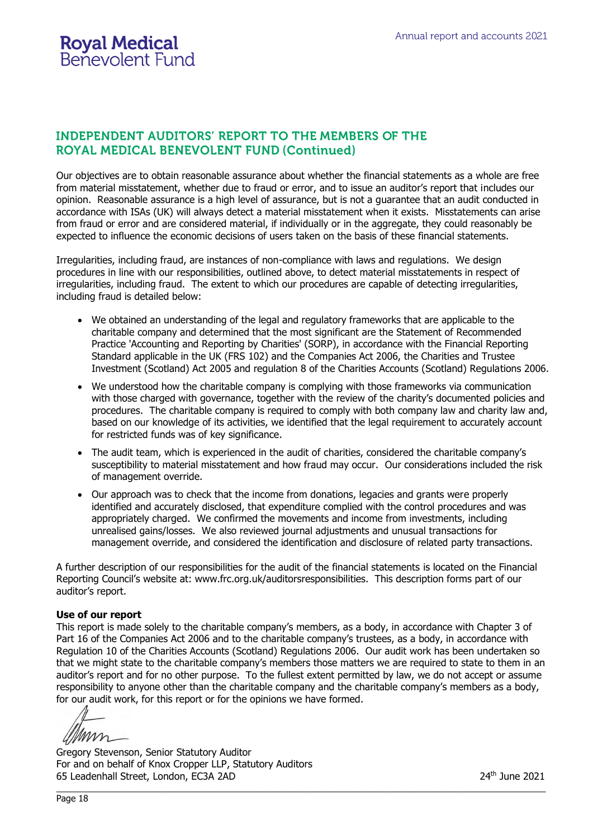# **INDEPENDENT AUDITORS' REPORT TO THE MEMBERS OF THE ROYAL MEDICAL BENEVOLENT FUND (Continued)**

Our objectives are to obtain reasonable assurance about whether the financial statements as a whole are free from material misstatement, whether due to fraud or error, and to issue an auditor's report that includes our opinion. Reasonable assurance is a high level of assurance, but is not a guarantee that an audit conducted in accordance with ISAs (UK) will always detect a material misstatement when it exists. Misstatements can arise from fraud or error and are considered material, if individually or in the aggregate, they could reasonably be expected to influence the economic decisions of users taken on the basis of these financial statements.

Irregularities, including fraud, are instances of non-compliance with laws and regulations. We design procedures in line with our responsibilities, outlined above, to detect material misstatements in respect of irregularities, including fraud. The extent to which our procedures are capable of detecting irregularities, including fraud is detailed below:

- We obtained an understanding of the legal and regulatory frameworks that are applicable to the charitable company and determined that the most significant are the Statement of Recommended Practice 'Accounting and Reporting by Charities' (SORP), in accordance with the Financial Reporting Standard applicable in the UK (FRS 102) and the Companies Act 2006, the Charities and Trustee Investment (Scotland) Act 2005 and regulation 8 of the Charities Accounts (Scotland) Regulations 2006.
- We understood how the charitable company is complying with those frameworks via communication with those charged with governance, together with the review of the charity's documented policies and procedures. The charitable company is required to comply with both company law and charity law and, based on our knowledge of its activities, we identified that the legal requirement to accurately account for restricted funds was of key significance.
- The audit team, which is experienced in the audit of charities, considered the charitable company's susceptibility to material misstatement and how fraud may occur. Our considerations included the risk of management override.
- Our approach was to check that the income from donations, legacies and grants were properly identified and accurately disclosed, that expenditure complied with the control procedures and was appropriately charged. We confirmed the movements and income from investments, including unrealised gains/losses. We also reviewed journal adjustments and unusual transactions for management override, and considered the identification and disclosure of related party transactions.

A further description of our responsibilities for the audit of the financial statements is located on the Financial Reporting Council's website at: www.frc.org.uk/auditorsresponsibilities. This description forms part of our auditor's report.

### **Use of our report**

This report is made solely to the charitable company's members, as a body, in accordance with Chapter 3 of Part 16 of the Companies Act 2006 and to the charitable company's trustees, as a body, in accordance with Regulation 10 of the Charities Accounts (Scotland) Regulations 2006. Our audit work has been undertaken so that we might state to the charitable company's members those matters we are required to state to them in an auditor's report and for no other purpose. To the fullest extent permitted by law, we do not accept or assume responsibility to anyone other than the charitable company and the charitable company's members as a body, for our audit work, for this report or for the opinions we have formed.

mm

Gregory Stevenson, Senior Statutory Auditor For and on behalf of Knox Cropper LLP, Statutory Auditors 65 Leadenhall Street, London, EC3A 2AD 24th June 2021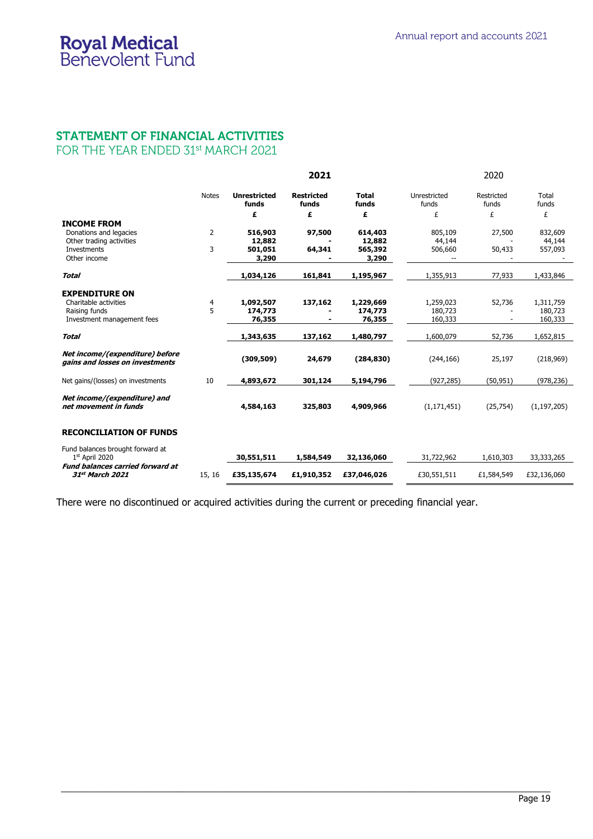# STATEMENT OF FINANCIAL ACTIVITIES

FOR THE YEAR ENDED 31st MARCH 2021

|                                                                                                         |              | 2021                                  |                            |                                       | 2020                                                     |                     |                                 |  |
|---------------------------------------------------------------------------------------------------------|--------------|---------------------------------------|----------------------------|---------------------------------------|----------------------------------------------------------|---------------------|---------------------------------|--|
|                                                                                                         | <b>Notes</b> | <b>Unrestricted</b><br>funds          | <b>Restricted</b><br>funds | <b>Total</b><br>funds                 | Unrestricted<br>funds                                    | Restricted<br>funds | Total<br>funds                  |  |
|                                                                                                         |              | £                                     | £                          | £                                     | £                                                        | £                   | £                               |  |
| <b>INCOME FROM</b><br>Donations and legacies<br>Other trading activities<br>Investments<br>Other income | 2<br>3       | 516,903<br>12,882<br>501,051<br>3,290 | 97,500<br>64,341           | 614,403<br>12,882<br>565,392<br>3,290 | 805,109<br>44,144<br>506,660<br>$\overline{\phantom{a}}$ | 27,500<br>50,433    | 832,609<br>44,144<br>557,093    |  |
| <b>Total</b>                                                                                            |              | 1,034,126                             | 161,841                    | 1,195,967                             | 1,355,913                                                | 77,933              | 1,433,846                       |  |
| <b>EXPENDITURE ON</b><br>Charitable activities<br>Raising funds<br>Investment management fees           | 4<br>5       | 1,092,507<br>174,773<br>76,355        | 137,162                    | 1,229,669<br>174,773<br>76,355        | 1,259,023<br>180,723<br>160,333                          | 52,736              | 1,311,759<br>180,723<br>160,333 |  |
| <b>Total</b>                                                                                            |              | 1,343,635                             | 137,162                    | 1,480,797                             | 1,600,079                                                | 52,736              | 1,652,815                       |  |
| Net income/(expenditure) before<br>gains and losses on investments                                      |              | (309, 509)                            | 24,679                     | (284, 830)                            | (244, 166)                                               | 25,197              | (218,969)                       |  |
| Net gains/(losses) on investments                                                                       | 10           | 4,893,672                             | 301,124                    | 5,194,796                             | (927, 285)                                               | (50, 951)           | (978, 236)                      |  |
| Net income/(expenditure) and<br>net movement in funds                                                   |              | 4,584,163                             | 325,803                    | 4,909,966                             | (1, 171, 451)                                            | (25, 754)           | (1, 197, 205)                   |  |
| <b>RECONCILIATION OF FUNDS</b>                                                                          |              |                                       |                            |                                       |                                                          |                     |                                 |  |
| Fund balances brought forward at<br>$1st$ April 2020                                                    |              | 30,551,511                            | 1,584,549                  | 32,136,060                            | 31,722,962                                               | 1,610,303           | 33,333,265                      |  |
| <b>Fund balances carried forward at</b><br>31st March 2021                                              | 15, 16       | £35,135,674                           | £1,910,352                 | £37,046,026                           | £30,551,511                                              | £1,584,549          | £32,136,060                     |  |

There were no discontinued or acquired activities during the current or preceding financial year.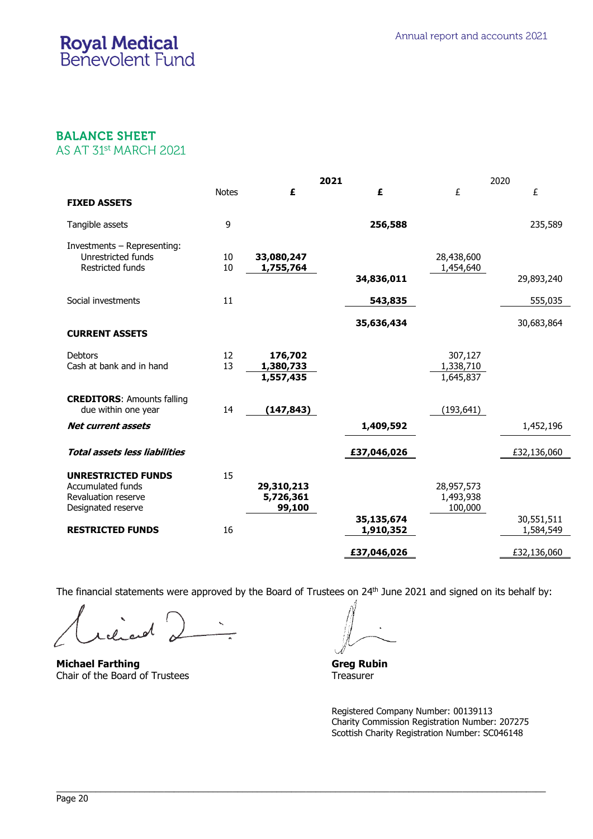# **BALANCE SHEET**

AS AT 31st MARCH 2021

|                                                                                                    |              | 2021                              |             |                                    | 2020        |
|----------------------------------------------------------------------------------------------------|--------------|-----------------------------------|-------------|------------------------------------|-------------|
|                                                                                                    | <b>Notes</b> | £                                 | £           | £                                  | £           |
| <b>FIXED ASSETS</b>                                                                                |              |                                   |             |                                    |             |
| Tangible assets                                                                                    | 9            |                                   | 256,588     |                                    | 235,589     |
| Investments - Representing:<br>Unrestricted funds<br>Restricted funds                              | 10<br>10     | 33,080,247<br>1,755,764           |             | 28,438,600<br>1,454,640            |             |
|                                                                                                    |              |                                   | 34,836,011  |                                    | 29,893,240  |
| Social investments                                                                                 | 11           |                                   | 543,835     |                                    | 555,035     |
| <b>CURRENT ASSETS</b>                                                                              |              |                                   | 35,636,434  |                                    | 30,683,864  |
| <b>Debtors</b><br>Cash at bank and in hand                                                         | 12<br>13     | 176,702<br>1,380,733<br>1,557,435 |             | 307,127<br>1,338,710<br>1,645,837  |             |
| <b>CREDITORS: Amounts falling</b><br>due within one year                                           | 14           | (147, 843)                        |             | (193, 641)                         |             |
| <b>Net current assets</b>                                                                          |              |                                   | 1,409,592   |                                    | 1,452,196   |
| <b>Total assets less liabilities</b>                                                               |              |                                   | £37,046,026 |                                    | £32,136,060 |
| <b>UNRESTRICTED FUNDS</b><br><b>Accumulated funds</b><br>Revaluation reserve<br>Designated reserve | 15           | 29,310,213<br>5,726,361<br>99,100 | 35,135,674  | 28,957,573<br>1,493,938<br>100,000 | 30,551,511  |
| <b>RESTRICTED FUNDS</b>                                                                            | 16           |                                   | 1,910,352   |                                    | 1,584,549   |
|                                                                                                    |              |                                   | £37,046,026 |                                    | £32,136,060 |

The financial statements were approved by the Board of Trustees on  $24<sup>th</sup>$  June 2021 and signed on its behalf by:

\_\_\_\_\_\_\_\_\_\_\_\_\_\_\_\_\_\_\_\_\_\_\_\_\_\_\_\_\_\_\_\_\_\_\_\_\_\_\_\_\_\_\_\_\_\_\_\_\_\_\_\_\_\_\_\_\_\_\_\_\_\_\_\_\_\_\_\_\_\_\_\_\_\_\_\_\_\_\_\_\_\_\_\_\_\_\_\_\_\_\_\_\_\_\_\_\_\_\_\_

relieved

**Michael Farthing**<br> **Chair of the Board of Trustees**<br> **Greg Rubin**<br> **Greg Rubin** Chair of the Board of Trustees

Registered Company Number: 00139113 Charity Commission Registration Number: 207275 Scottish Charity Registration Number: SC046148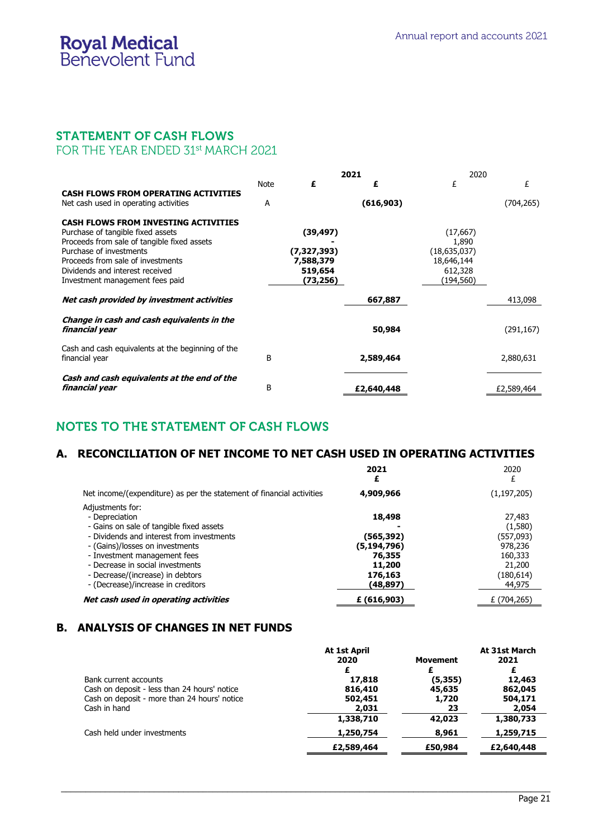### **STATEMENT OF CASH FLOWS** FOR THE YEAR ENDED 31st MARCH 2021

|                                                                                                                                                                                                                                                                       | 2021 |                                                               | 2020       |                                                                          |            |
|-----------------------------------------------------------------------------------------------------------------------------------------------------------------------------------------------------------------------------------------------------------------------|------|---------------------------------------------------------------|------------|--------------------------------------------------------------------------|------------|
|                                                                                                                                                                                                                                                                       | Note | £                                                             | £          | £                                                                        | £          |
| <b>CASH FLOWS FROM OPERATING ACTIVITIES</b><br>Net cash used in operating activities                                                                                                                                                                                  | А    |                                                               | (616,903)  |                                                                          | (704, 265) |
| <b>CASH FLOWS FROM INVESTING ACTIVITIES</b><br>Purchase of tangible fixed assets<br>Proceeds from sale of tangible fixed assets<br>Purchase of investments<br>Proceeds from sale of investments<br>Dividends and interest received<br>Investment management fees paid |      | (39, 497)<br>(7,327,393)<br>7,588,379<br>519,654<br>(73, 256) |            | (17, 667)<br>1,890<br>(18,635,037)<br>18,646,144<br>612,328<br>(194,560) |            |
| Net cash provided by investment activities                                                                                                                                                                                                                            |      |                                                               | 667,887    |                                                                          | 413,098    |
| Change in cash and cash equivalents in the<br>financial year                                                                                                                                                                                                          |      |                                                               | 50,984     |                                                                          | (291, 167) |
| Cash and cash equivalents at the beginning of the<br>financial year                                                                                                                                                                                                   | B    |                                                               | 2,589,464  |                                                                          | 2,880,631  |
| Cash and cash equivalents at the end of the<br>financial year                                                                                                                                                                                                         | B    |                                                               | £2,640,448 |                                                                          | £2,589,464 |

# NOTES TO THE STATEMENT OF CASH FLOWS

### **A. RECONCILIATION OF NET INCOME TO NET CASH USED IN OPERATING ACTIVITIES**

|                                                                                                                                                                                                                                                                                                              | 2021<br>£                                                                        | 2020<br>£                                                                              |
|--------------------------------------------------------------------------------------------------------------------------------------------------------------------------------------------------------------------------------------------------------------------------------------------------------------|----------------------------------------------------------------------------------|----------------------------------------------------------------------------------------|
| Net income/(expenditure) as per the statement of financial activities                                                                                                                                                                                                                                        | 4,909,966                                                                        | (1, 197, 205)                                                                          |
| Adjustments for:<br>- Depreciation<br>- Gains on sale of tangible fixed assets<br>- Dividends and interest from investments<br>- (Gains)/losses on investments<br>- Investment management fees<br>- Decrease in social investments<br>- Decrease/(increase) in debtors<br>- (Decrease)/increase in creditors | 18,498<br>(565,392)<br>(5, 194, 796)<br>76,355<br>11,200<br>176,163<br>(48, 897) | 27,483<br>(1,580)<br>(557,093)<br>978,236<br>160,333<br>21,200<br>(180, 614)<br>44,975 |
| Net cash used in operating activities                                                                                                                                                                                                                                                                        | £ (616,903)                                                                      | £ (704,265)                                                                            |

### **B. ANALYSIS OF CHANGES IN NET FUNDS**

|                                              | <b>At 1st April</b><br>2020 | <b>Movement</b><br>£ | At 31st March<br>2021 |
|----------------------------------------------|-----------------------------|----------------------|-----------------------|
| Bank current accounts                        | 17,818                      | (5,355)              | 12,463                |
| Cash on deposit - less than 24 hours' notice | 816,410                     | 45,635               | 862,045               |
| Cash on deposit - more than 24 hours' notice | 502,451                     | 1,720                | 504,171               |
| Cash in hand                                 | 2,031                       | 23                   | 2,054                 |
|                                              | 1,338,710                   | 42,023               | 1,380,733             |
| Cash held under investments                  | 1,250,754                   | 8,961                | 1,259,715             |
|                                              | £2,589,464                  | £50,984              | £2,640,448            |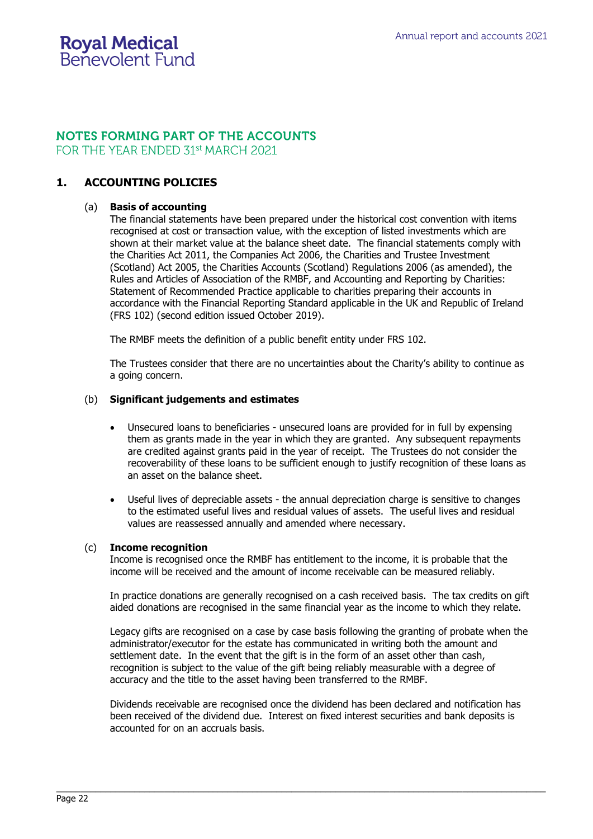# **NOTES FORMING PART OF THE ACCOUNTS**

FOR THE YEAR ENDED 31st MARCH 2021

### **1. ACCOUNTING POLICIES**

### (a) **Basis of accounting**

The financial statements have been prepared under the historical cost convention with items recognised at cost or transaction value, with the exception of listed investments which are shown at their market value at the balance sheet date. The financial statements comply with the Charities Act 2011, the Companies Act 2006, the Charities and Trustee Investment (Scotland) Act 2005, the Charities Accounts (Scotland) Regulations 2006 (as amended), the Rules and Articles of Association of the RMBF, and Accounting and Reporting by Charities: Statement of Recommended Practice applicable to charities preparing their accounts in accordance with the Financial Reporting Standard applicable in the UK and Republic of Ireland (FRS 102) (second edition issued October 2019).

The RMBF meets the definition of a public benefit entity under FRS 102.

The Trustees consider that there are no uncertainties about the Charity's ability to continue as a going concern.

### (b) **Significant judgements and estimates**

- Unsecured loans to beneficiaries unsecured loans are provided for in full by expensing them as grants made in the year in which they are granted. Any subsequent repayments are credited against grants paid in the year of receipt. The Trustees do not consider the recoverability of these loans to be sufficient enough to justify recognition of these loans as an asset on the balance sheet.
- Useful lives of depreciable assets the annual depreciation charge is sensitive to changes to the estimated useful lives and residual values of assets. The useful lives and residual values are reassessed annually and amended where necessary.

#### (c) **Income recognition**

Income is recognised once the RMBF has entitlement to the income, it is probable that the income will be received and the amount of income receivable can be measured reliably.

In practice donations are generally recognised on a cash received basis. The tax credits on gift aided donations are recognised in the same financial year as the income to which they relate.

Legacy gifts are recognised on a case by case basis following the granting of probate when the administrator/executor for the estate has communicated in writing both the amount and settlement date. In the event that the gift is in the form of an asset other than cash, recognition is subject to the value of the gift being reliably measurable with a degree of accuracy and the title to the asset having been transferred to the RMBF.

Dividends receivable are recognised once the dividend has been declared and notification has been received of the dividend due. Interest on fixed interest securities and bank deposits is accounted for on an accruals basis.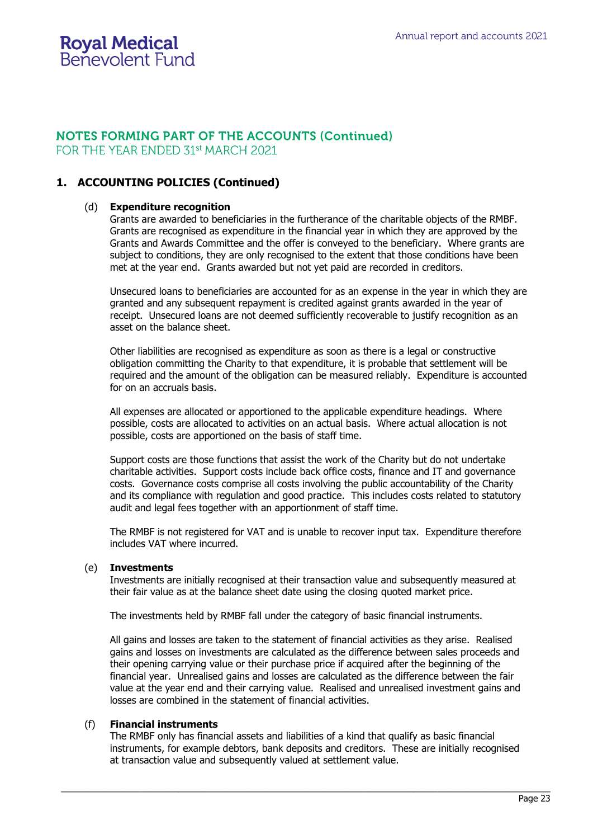# **NOTES FORMING PART OF THE ACCOUNTS (Continued)**

FOR THE YEAR ENDED 31st MARCH 2021

# **1. ACCOUNTING POLICIES (Continued)**

### (d) **Expenditure recognition**

Grants are awarded to beneficiaries in the furtherance of the charitable objects of the RMBF. Grants are recognised as expenditure in the financial year in which they are approved by the Grants and Awards Committee and the offer is conveyed to the beneficiary. Where grants are subject to conditions, they are only recognised to the extent that those conditions have been met at the year end. Grants awarded but not yet paid are recorded in creditors.

Unsecured loans to beneficiaries are accounted for as an expense in the year in which they are granted and any subsequent repayment is credited against grants awarded in the year of receipt. Unsecured loans are not deemed sufficiently recoverable to justify recognition as an asset on the balance sheet.

Other liabilities are recognised as expenditure as soon as there is a legal or constructive obligation committing the Charity to that expenditure, it is probable that settlement will be required and the amount of the obligation can be measured reliably. Expenditure is accounted for on an accruals basis.

All expenses are allocated or apportioned to the applicable expenditure headings. Where possible, costs are allocated to activities on an actual basis. Where actual allocation is not possible, costs are apportioned on the basis of staff time.

Support costs are those functions that assist the work of the Charity but do not undertake charitable activities. Support costs include back office costs, finance and IT and governance costs. Governance costs comprise all costs involving the public accountability of the Charity and its compliance with regulation and good practice. This includes costs related to statutory audit and legal fees together with an apportionment of staff time.

The RMBF is not registered for VAT and is unable to recover input tax. Expenditure therefore includes VAT where incurred.

#### (e) **Investments**

Investments are initially recognised at their transaction value and subsequently measured at their fair value as at the balance sheet date using the closing quoted market price.

The investments held by RMBF fall under the category of basic financial instruments.

All gains and losses are taken to the statement of financial activities as they arise. Realised gains and losses on investments are calculated as the difference between sales proceeds and their opening carrying value or their purchase price if acquired after the beginning of the financial year. Unrealised gains and losses are calculated as the difference between the fair value at the year end and their carrying value. Realised and unrealised investment gains and losses are combined in the statement of financial activities.

#### (f) **Financial instruments**

The RMBF only has financial assets and liabilities of a kind that qualify as basic financial instruments, for example debtors, bank deposits and creditors. These are initially recognised at transaction value and subsequently valued at settlement value.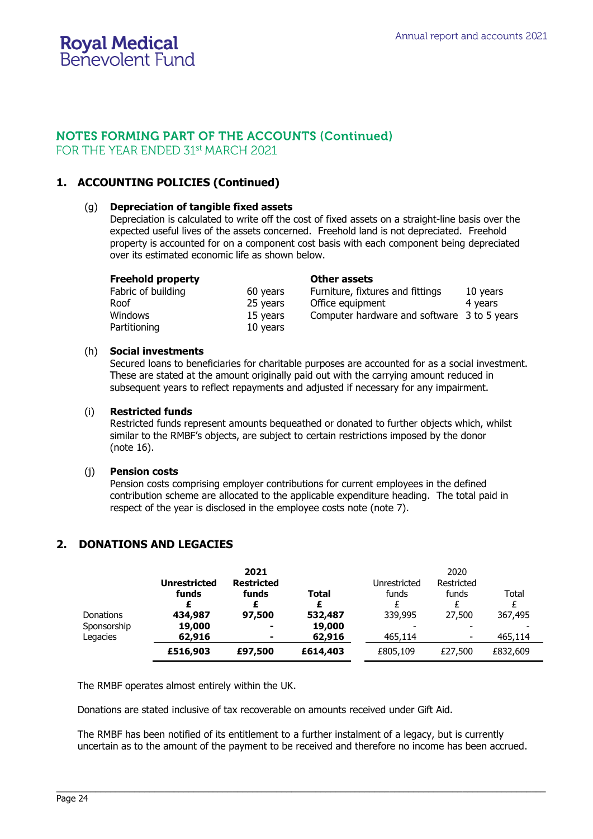# **NOTES FORMING PART OF THE ACCOUNTS (Continued)**

FOR THE YEAR ENDED 31st MARCH 2021

### **1. ACCOUNTING POLICIES (Continued)**

### (g) **Depreciation of tangible fixed assets**

Depreciation is calculated to write off the cost of fixed assets on a straight-line basis over the expected useful lives of the assets concerned. Freehold land is not depreciated. Freehold property is accounted for on a component cost basis with each component being depreciated over its estimated economic life as shown below.

| <b>Freehold property</b> |          | <b>Other assets</b>                         |          |
|--------------------------|----------|---------------------------------------------|----------|
| Fabric of building       | 60 years | Furniture, fixtures and fittings            | 10 years |
| Roof                     | 25 years | Office equipment                            | 4 years  |
| Windows                  | 15 years | Computer hardware and software 3 to 5 years |          |
| Partitioning             | 10 years |                                             |          |

### (h) **Social investments**

Secured loans to beneficiaries for charitable purposes are accounted for as a social investment. These are stated at the amount originally paid out with the carrying amount reduced in subsequent years to reflect repayments and adjusted if necessary for any impairment.

### (i) **Restricted funds**

Restricted funds represent amounts bequeathed or donated to further objects which, whilst similar to the RMBF's objects, are subject to certain restrictions imposed by the donor (note 16).

#### (j) **Pension costs**

Pension costs comprising employer contributions for current employees in the defined contribution scheme are allocated to the applicable expenditure heading. The total paid in respect of the year is disclosed in the employee costs note (note 7).

### **2. DONATIONS AND LEGACIES**

| <b>Donations</b><br>Sponsorship | <b>Unrestricted</b><br>funds<br>434,987<br>19,000 | 2021<br><b>Restricted</b><br>funds<br>97,500<br>$\blacksquare$ | <b>Total</b><br>532,487<br>19,000 | Unrestricted<br>funds<br>339,995 | 2020<br>Restricted<br>funds<br>27,500 | Total<br>£<br>367,495 |
|---------------------------------|---------------------------------------------------|----------------------------------------------------------------|-----------------------------------|----------------------------------|---------------------------------------|-----------------------|
| Legacies                        | 62,916                                            | $\blacksquare$                                                 | 62,916                            | 465,114                          |                                       | 465,114               |
|                                 | £516,903                                          | £97,500                                                        | £614,403                          | £805,109                         | £27,500                               | £832,609              |

The RMBF operates almost entirely within the UK.

Donations are stated inclusive of tax recoverable on amounts received under Gift Aid.

The RMBF has been notified of its entitlement to a further instalment of a legacy, but is currently uncertain as to the amount of the payment to be received and therefore no income has been accrued.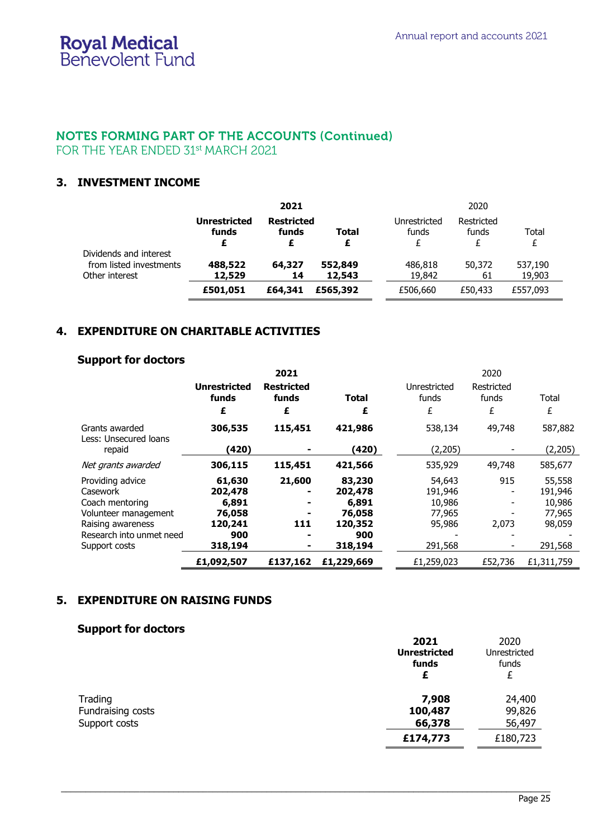# NOTES FORMING PART OF THE ACCOUNTS (Continued)

FOR THE YEAR ENDED 31st MARCH 2021

# **3. INVESTMENT INCOME**

|                                                                     | 2021                              |                                 |                   | 2020                  |                     |                   |  |
|---------------------------------------------------------------------|-----------------------------------|---------------------------------|-------------------|-----------------------|---------------------|-------------------|--|
|                                                                     | <b>Unrestricted</b><br>funds<br>£ | <b>Restricted</b><br>funds<br>£ | <b>Total</b>      | Unrestricted<br>funds | Restricted<br>funds | Total             |  |
| Dividends and interest<br>from listed investments<br>Other interest | 488,522<br>12,529                 | 64,327<br>14                    | 552,849<br>12,543 | 486,818<br>19,842     | 50,372<br>61        | 537,190<br>19,903 |  |
|                                                                     | £501,051                          | £64,341                         | £565,392          | £506,660              | £50,433             | £557,093          |  |

### **4. EXPENDITURE ON CHARITABLE ACTIVITIES**

### **Support for doctors**

|                                         |                              | 2021                       |              |                       | 2020                |            |
|-----------------------------------------|------------------------------|----------------------------|--------------|-----------------------|---------------------|------------|
|                                         | <b>Unrestricted</b><br>funds | <b>Restricted</b><br>funds | <b>Total</b> | Unrestricted<br>funds | Restricted<br>funds | Total      |
|                                         | £                            | £                          | £            | £                     | £                   | £          |
| Grants awarded<br>Less: Unsecured loans | 306,535                      | 115,451                    | 421,986      | 538,134               | 49,748              | 587,882    |
| repaid                                  | (420)                        |                            | (420)        | (2,205)               |                     | (2,205)    |
| Net grants awarded                      | 306,115                      | 115,451                    | 421,566      | 535,929               | 49,748              | 585,677    |
| Providing advice                        | 61,630                       | 21,600                     | 83,230       | 54,643                | 915                 | 55,558     |
| Casework                                | 202,478                      | $\blacksquare$             | 202,478      | 191,946               | -                   | 191,946    |
| Coach mentoring                         | 6,891                        | ۰                          | 6,891        | 10,986                |                     | 10,986     |
| Volunteer management                    | 76,058                       | $\blacksquare$             | 76,058       | 77,965                |                     | 77,965     |
| Raising awareness                       | 120,241                      | 111                        | 120,352      | 95,986                | 2,073               | 98,059     |
| Research into unmet need                | 900                          |                            | 900          |                       |                     |            |
| Support costs                           | 318,194                      | $\blacksquare$             | 318,194      | 291,568               |                     | 291,568    |
|                                         | £1,092,507                   | £137,162                   | £1,229,669   | £1,259,023            | £52,736             | £1,311,759 |

### **5. EXPENDITURE ON RAISING FUNDS**

# **Support for doctors**

|                                               | 2021<br><b>Unrestricted</b><br>funds<br>£ | 2020<br>Unrestricted<br>funds<br>£ |
|-----------------------------------------------|-------------------------------------------|------------------------------------|
| Trading<br>Fundraising costs<br>Support costs | 7,908<br>100,487<br>66,378                | 24,400<br>99,826<br>56,497         |
|                                               | £174,773                                  | £180,723                           |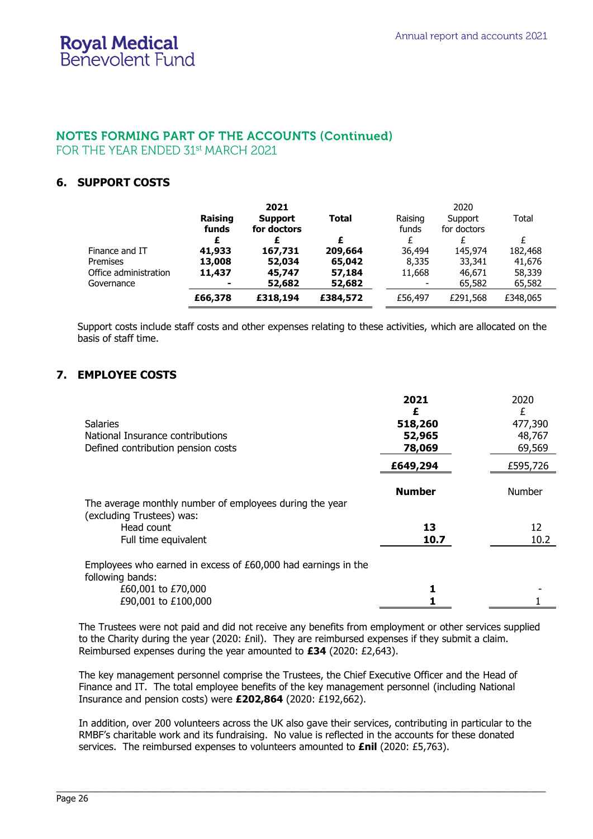# **NOTES FORMING PART OF THE ACCOUNTS (Continued)**

FOR THE YEAR ENDED 31st MARCH 2021

## **6. SUPPORT COSTS**

|                       |                | 2021           |          |         | 2020        |          |
|-----------------------|----------------|----------------|----------|---------|-------------|----------|
|                       | Raising        | <b>Support</b> | Total    | Raising | Support     | Total    |
|                       | funds          | for doctors    |          | funds   | for doctors |          |
|                       | £              |                |          |         |             | £        |
| Finance and IT        | 41,933         | 167,731        | 209,664  | 36,494  | 145,974     | 182,468  |
| Premises              | 13,008         | 52,034         | 65,042   | 8,335   | 33,341      | 41,676   |
| Office administration | 11,437         | 45,747         | 57,184   | 11,668  | 46,671      | 58,339   |
| Governance            | $\blacksquare$ | 52,682         | 52,682   |         | 65,582      | 65,582   |
|                       | £66,378        | £318,194       | £384,572 | £56,497 | £291,568    | £348,065 |

Support costs include staff costs and other expenses relating to these activities, which are allocated on the basis of staff time.

### **7. EMPLOYEE COSTS**

|                                                                                   | 2021          | 2020     |
|-----------------------------------------------------------------------------------|---------------|----------|
|                                                                                   | £             | £        |
| <b>Salaries</b>                                                                   | 518,260       | 477,390  |
| National Insurance contributions                                                  | 52,965        | 48,767   |
| Defined contribution pension costs                                                | 78,069        | 69,569   |
|                                                                                   | £649,294      | £595,726 |
| The average monthly number of employees during the year                           | <b>Number</b> | Number   |
| (excluding Trustees) was:                                                         |               |          |
| Head count                                                                        | 13            | 12       |
| Full time equivalent                                                              | 10.7          | 10.2     |
| Employees who earned in excess of £60,000 had earnings in the<br>following bands: |               |          |
| £60,001 to £70,000                                                                |               |          |
| £90,001 to £100,000                                                               |               |          |

The Trustees were not paid and did not receive any benefits from employment or other services supplied to the Charity during the year (2020: £nil). They are reimbursed expenses if they submit a claim. Reimbursed expenses during the year amounted to **£34** (2020: £2,643).

The key management personnel comprise the Trustees, the Chief Executive Officer and the Head of Finance and IT. The total employee benefits of the key management personnel (including National Insurance and pension costs) were **£202,864** (2020: £192,662).

In addition, over 200 volunteers across the UK also gave their services, contributing in particular to the RMBF's charitable work and its fundraising. No value is reflected in the accounts for these donated services. The reimbursed expenses to volunteers amounted to **£nil** (2020: £5,763).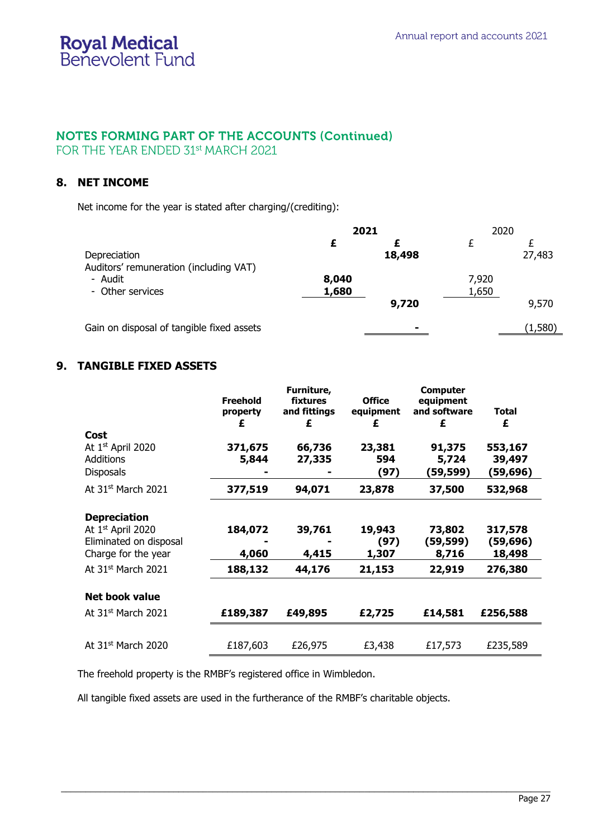# NOTES FORMING PART OF THE ACCOUNTS (Continued)

FOR THE YEAR ENDED 31st MARCH 2021

### **8. NET INCOME**

Net income for the year is stated after charging/(crediting):

|                                                        | 2021           |                | 2020           |         |
|--------------------------------------------------------|----------------|----------------|----------------|---------|
| Depreciation<br>Auditors' remuneration (including VAT) |                | 18,498         |                | 27,483  |
| - Audit<br>- Other services                            | 8,040<br>1,680 |                | 7,920<br>1,650 |         |
|                                                        |                | 9,720          |                | 9,570   |
| Gain on disposal of tangible fixed assets              |                | $\blacksquare$ |                | (1,580) |

# **9. TANGIBLE FIXED ASSETS**

|                                                   | <b>Freehold</b> | Furniture,<br><b>fixtures</b> | <b>Office</b> | <b>Computer</b><br>equipment |              |
|---------------------------------------------------|-----------------|-------------------------------|---------------|------------------------------|--------------|
|                                                   | property        | and fittings                  | equipment     | and software                 | <b>Total</b> |
|                                                   | £               | £                             | £             | £                            | £            |
| Cost                                              | 371,675         |                               | 23,381        | 91,375                       | 553,167      |
| At 1 <sup>st</sup> April 2020<br><b>Additions</b> |                 | 66,736                        |               |                              |              |
|                                                   | 5,844           | 27,335                        | 594           | 5,724                        | 39,497       |
| <b>Disposals</b>                                  |                 |                               | (97)          | (59,599)                     | (59,696)     |
| At $31st$ March 2021                              | 377,519         | 94,071                        | 23,878        | 37,500                       | 532,968      |
| <b>Depreciation</b>                               |                 |                               |               |                              |              |
| At 1st April 2020                                 | 184,072         | 39,761                        | 19,943        | 73,802                       | 317,578      |
| Eliminated on disposal                            |                 |                               | (97)          | (59,599)                     | (59, 696)    |
| Charge for the year                               | 4,060           | 4,415                         | 1,307         | 8,716                        | 18,498       |
| At 31st March 2021                                | 188,132         | 44,176                        | 21,153        | 22,919                       | 276,380      |
| <b>Net book value</b>                             |                 |                               |               |                              |              |
| At 31st March 2021                                | £189,387        | £49,895                       | £2,725        | £14,581                      | £256,588     |
|                                                   |                 |                               |               |                              |              |
| At 31st March 2020                                | £187,603        | £26,975                       | £3,438        | £17,573                      | £235,589     |

The freehold property is the RMBF's registered office in Wimbledon.

All tangible fixed assets are used in the furtherance of the RMBF's charitable objects.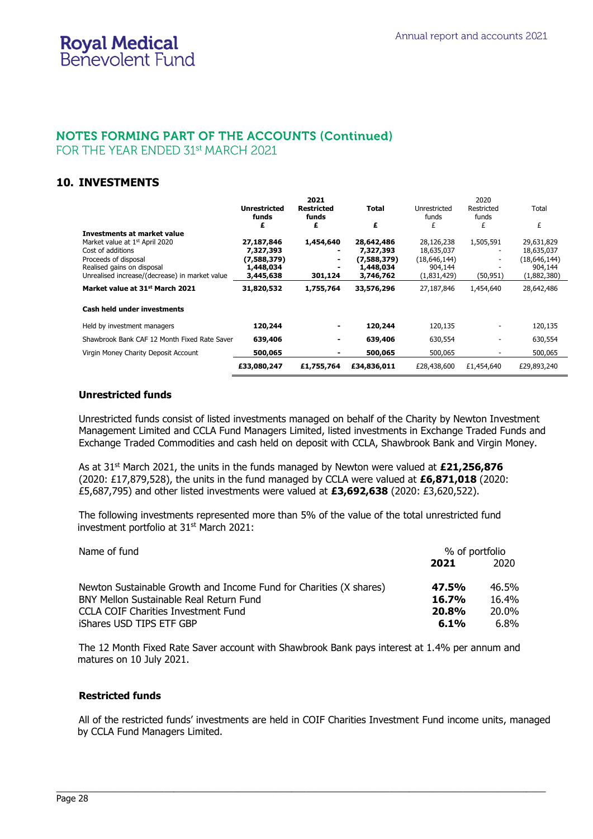# **NOTES FORMING PART OF THE ACCOUNTS (Continued)**

FOR THE YEAR ENDED 31st MARCH 2021

### **10. INVESTMENTS**

|                                                |                     | 2021              |              |              | 2020       |              |
|------------------------------------------------|---------------------|-------------------|--------------|--------------|------------|--------------|
|                                                | <b>Unrestricted</b> | <b>Restricted</b> | <b>Total</b> | Unrestricted | Restricted | Total        |
|                                                | funds               | funds             |              | funds        | funds      |              |
|                                                | £                   | £                 | £            | £            | £          | £            |
| Investments at market value                    |                     |                   |              |              |            |              |
| Market value at 1 <sup>st</sup> April 2020     | 27,187,846          | 1,454,640         | 28,642,486   | 28,126,238   | 1,505,591  | 29,631,829   |
| Cost of additions                              | 7,327,393           |                   | 7,327,393    | 18,635,037   | ۰          | 18,635,037   |
| Proceeds of disposal                           | (7,588,379)         |                   | (7,588,379)  | (18,646,144) |            | (18,646,144) |
| Realised gains on disposal                     | 1,448,034           |                   | 1,448,034    | 904,144      |            | 904,144      |
| Unrealised increase/(decrease) in market value | 3,445,638           | 301,124           | 3,746,762    | (1,831,429)  | (50, 951)  | (1,882,380)  |
| Market value at 31st March 2021                | 31,820,532          | 1,755,764         | 33,576,296   | 27,187,846   | 1,454,640  | 28,642,486   |
| <b>Cash held under investments</b>             |                     |                   |              |              |            |              |
| Held by investment managers                    | 120,244             |                   | 120,244      | 120,135      |            | 120,135      |
| Shawbrook Bank CAF 12 Month Fixed Rate Saver   | 639,406             |                   | 639,406      | 630,554      |            | 630,554      |
| Virgin Money Charity Deposit Account           | 500,065             |                   | 500,065      | 500,065      |            | 500,065      |
|                                                | £33,080,247         | £1,755,764        | £34,836,011  | £28,438,600  | £1,454,640 | £29,893,240  |

### **Unrestricted funds**

Unrestricted funds consist of listed investments managed on behalf of the Charity by Newton Investment Management Limited and CCLA Fund Managers Limited, listed investments in Exchange Traded Funds and Exchange Traded Commodities and cash held on deposit with CCLA, Shawbrook Bank and Virgin Money.

As at 31st March 2021, the units in the funds managed by Newton were valued at **£21,256,876** (2020: £17,879,528), the units in the fund managed by CCLA were valued at **£6,871,018** (2020: £5,687,795) and other listed investments were valued at **£3,692,638** (2020: £3,620,522).

The following investments represented more than 5% of the value of the total unrestricted fund investment portfolio at 31<sup>st</sup> March 2021:

| Name of fund                                                       | % of portfolio |              |  |
|--------------------------------------------------------------------|----------------|--------------|--|
|                                                                    | 2021           | 2020         |  |
| Newton Sustainable Growth and Income Fund for Charities (X shares) | 47.5%          | 46.5%        |  |
| BNY Mellon Sustainable Real Return Fund                            | <b>16.7%</b>   | 16.4%        |  |
| <b>CCLA COIF Charities Investment Fund</b>                         | <b>20.8%</b>   | <b>20.0%</b> |  |
| iShares USD TIPS ETF GBP                                           | $6.1\%$        | $6.8\%$      |  |

The 12 Month Fixed Rate Saver account with Shawbrook Bank pays interest at 1.4% per annum and matures on 10 July 2021.

#### **Restricted funds**

All of the restricted funds' investments are held in COIF Charities Investment Fund income units, managed by CCLA Fund Managers Limited.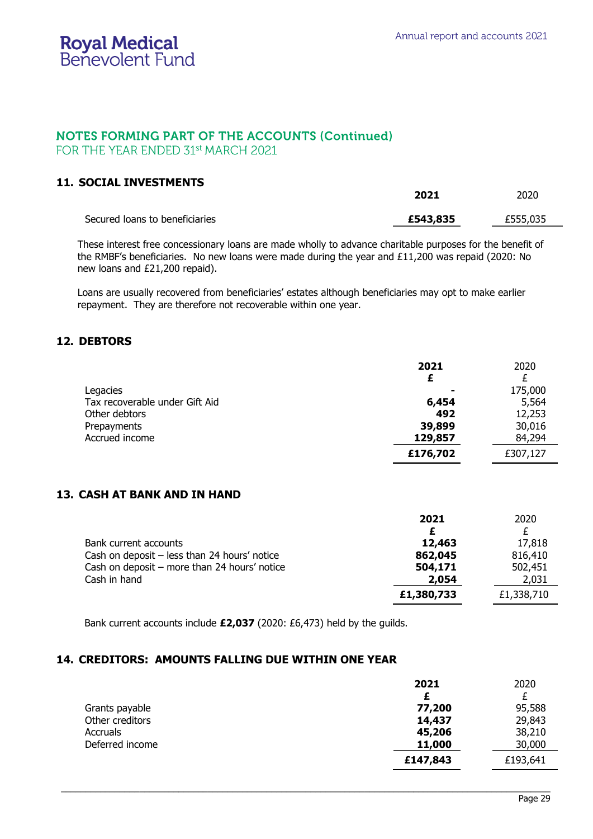# **NOTES FORMING PART OF THE ACCOUNTS (Continued)**

FOR THE YEAR ENDED 31st MARCH 2021

### **11. SOCIAL INVESTMENTS**

|                                | 2021     | 2020     |
|--------------------------------|----------|----------|
| Secured loans to beneficiaries | £543,835 | £555,035 |

These interest free concessionary loans are made wholly to advance charitable purposes for the benefit of the RMBF's beneficiaries. No new loans were made during the year and £11,200 was repaid (2020: No new loans and £21,200 repaid).

Loans are usually recovered from beneficiaries' estates although beneficiaries may opt to make earlier repayment. They are therefore not recoverable within one year.

# **12. DEBTORS**

|                                | 2021     | 2020     |
|--------------------------------|----------|----------|
|                                |          |          |
| Legacies                       |          | 175,000  |
| Tax recoverable under Gift Aid | 6,454    | 5,564    |
| Other debtors                  | 492      | 12,253   |
| Prepayments                    | 39,899   | 30,016   |
| Accrued income                 | 129,857  | 84,294   |
|                                | £176,702 | £307,127 |

### **13. CASH AT BANK AND IN HAND**

|                                              | 2021       | 2020       |
|----------------------------------------------|------------|------------|
|                                              |            |            |
| Bank current accounts                        | 12,463     | 17,818     |
| Cash on deposit - less than 24 hours' notice | 862,045    | 816,410    |
| Cash on deposit - more than 24 hours' notice | 504,171    | 502,451    |
| Cash in hand                                 | 2,054      | 2,031      |
|                                              | £1,380,733 | £1,338,710 |

Bank current accounts include **£2,037** (2020: £6,473) held by the guilds.

### **14. CREDITORS: AMOUNTS FALLING DUE WITHIN ONE YEAR**

|                 | 2021     | 2020     |
|-----------------|----------|----------|
|                 | £        |          |
| Grants payable  | 77,200   | 95,588   |
| Other creditors | 14,437   | 29,843   |
| Accruals        | 45,206   | 38,210   |
| Deferred income | 11,000   | 30,000   |
|                 | £147,843 | £193,641 |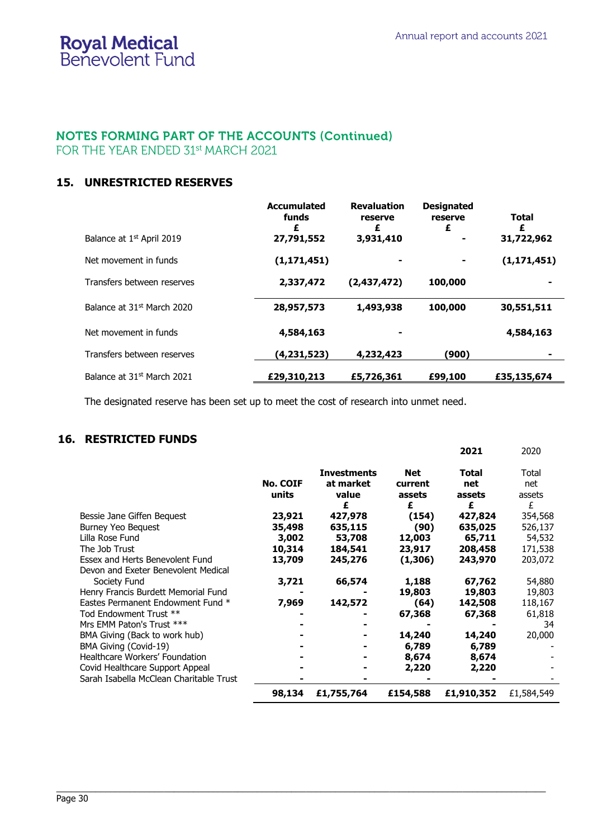# NOTES FORMING PART OF THE ACCOUNTS (Continued)

FOR THE YEAR ENDED 31st MARCH 2021

### **15. UNRESTRICTED RESERVES**

|                                        | <b>Accumulated</b><br>funds | <b>Revaluation</b><br>reserve<br>£ | <b>Designated</b><br>reserve<br>£ | <b>Total</b><br>£ |
|----------------------------------------|-----------------------------|------------------------------------|-----------------------------------|-------------------|
| Balance at 1 <sup>st</sup> April 2019  | 27,791,552                  | 3,931,410                          |                                   | 31,722,962        |
| Net movement in funds                  | (1, 171, 451)               |                                    | ۰                                 | (1, 171, 451)     |
| Transfers between reserves             | 2,337,472                   | (2,437,472)                        | 100,000                           |                   |
| Balance at 31st March 2020             | 28,957,573                  | 1,493,938                          | 100,000                           | 30,551,511        |
| Net movement in funds                  | 4,584,163                   |                                    |                                   | 4,584,163         |
| Transfers between reserves             | (4, 231, 523)               | 4,232,423                          | (900)                             |                   |
| Balance at 31 <sup>st</sup> March 2021 | £29,310,213                 | £5,726,361                         | £99,100                           | £35,135,674       |

The designated reserve has been set up to meet the cost of research into unmet need.

# **16. RESTRICTED FUNDS**

|                                         |                 |                    |            | 2021       | 2020       |
|-----------------------------------------|-----------------|--------------------|------------|------------|------------|
|                                         |                 | <b>Investments</b> | <b>Net</b> | Total      | Total      |
|                                         | <b>No. COIF</b> | at market          | current    | net        | net        |
|                                         | units           | value              | assets     | assets     | assets     |
|                                         |                 | £                  | £          | £          | £          |
| Bessie Jane Giffen Bequest              | 23,921          | 427,978            | (154)      | 427,824    | 354,568    |
| <b>Burney Yeo Bequest</b>               | 35,498          | 635,115            | (90)       | 635,025    | 526,137    |
| Lilla Rose Fund                         | 3,002           | 53,708             | 12,003     | 65,711     | 54,532     |
| The Job Trust                           | 10,314          | 184,541            | 23,917     | 208,458    | 171,538    |
| Essex and Herts Benevolent Fund         | 13,709          | 245,276            | (1,306)    | 243,970    | 203,072    |
| Devon and Exeter Benevolent Medical     |                 |                    |            |            |            |
| Society Fund                            | 3,721           | 66,574             | 1,188      | 67,762     | 54,880     |
| Henry Francis Burdett Memorial Fund     |                 |                    | 19,803     | 19,803     | 19,803     |
| Eastes Permanent Endowment Fund *       | 7,969           | 142,572            | (64)       | 142,508    | 118,167    |
| Tod Endowment Trust **                  |                 |                    | 67,368     | 67,368     | 61,818     |
| Mrs EMM Paton's Trust ***               |                 |                    |            |            | 34         |
| BMA Giving (Back to work hub)           |                 |                    | 14,240     | 14,240     | 20,000     |
| BMA Giving (Covid-19)                   |                 |                    | 6,789      | 6,789      |            |
| Healthcare Workers' Foundation          |                 |                    | 8,674      | 8,674      |            |
| Covid Healthcare Support Appeal         |                 |                    | 2,220      | 2,220      |            |
| Sarah Isabella McClean Charitable Trust |                 |                    |            |            |            |
|                                         | 98,134          | £1,755,764         | £154,588   | £1,910,352 | £1,584,549 |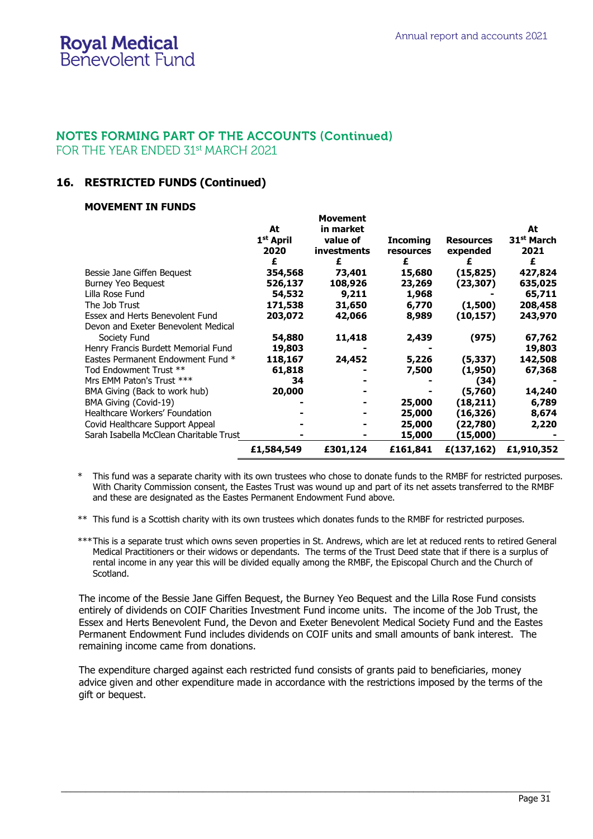### **NOTES FORMING PART OF THE ACCOUNTS (Continued)** FOR THE YEAR ENDED 31st MARCH 2021

### **16. RESTRICTED FUNDS (Continued)**

### **MOVEMENT IN FUNDS**

|                                         |                       | riovement   |                  |                  |                        |
|-----------------------------------------|-----------------------|-------------|------------------|------------------|------------------------|
|                                         | At                    | in market   |                  |                  | At                     |
|                                         | 1 <sup>st</sup> April | value of    | <b>Incoming</b>  | <b>Resources</b> | 31 <sup>st</sup> March |
|                                         | 2020                  | investments | <b>resources</b> | expended         | 2021                   |
|                                         | £                     | £           | £                | £                | £                      |
| Bessie Jane Giffen Bequest              | 354,568               | 73,401      | 15,680           | (15, 825)        | 427,824                |
| <b>Burney Yeo Bequest</b>               | 526,137               | 108,926     | 23,269           | (23, 307)        | 635,025                |
| Lilla Rose Fund                         | 54,532                | 9,211       | 1,968            |                  | 65,711                 |
| The Job Trust                           | 171,538               | 31,650      | 6,770            | (1,500)          | 208,458                |
| Essex and Herts Benevolent Fund         | 203,072               | 42,066      | 8,989            | (10, 157)        | 243,970                |
| Devon and Exeter Benevolent Medical     |                       |             |                  |                  |                        |
| Society Fund                            | 54,880                | 11,418      | 2,439            | (975)            | 67,762                 |
| Henry Francis Burdett Memorial Fund     | 19,803                |             |                  |                  | 19,803                 |
| Eastes Permanent Endowment Fund *       | 118,167               | 24,452      | 5,226            | (5,337)          | 142,508                |
| Tod Endowment Trust **                  | 61,818                |             | 7,500            | (1,950)          | 67,368                 |
| Mrs EMM Paton's Trust ***               | 34                    |             |                  | (34)             |                        |
| BMA Giving (Back to work hub)           | 20,000                |             |                  | (5,760)          | 14,240                 |
| BMA Giving (Covid-19)                   |                       |             | 25,000           | (18, 211)        | 6,789                  |
| Healthcare Workers' Foundation          |                       |             | 25,000           | (16,326)         | 8,674                  |
| Covid Healthcare Support Appeal         |                       |             | 25,000           | (22,780)         | 2,220                  |
| Sarah Isabella McClean Charitable Trust |                       |             | 15,000           | (15,000)         |                        |
|                                         | £1,584,549            | £301,124    | £161,841         | £(137,162)       | £1,910,352             |

**Movement**

This fund was a separate charity with its own trustees who chose to donate funds to the RMBF for restricted purposes. With Charity Commission consent, the Eastes Trust was wound up and part of its net assets transferred to the RMBF and these are designated as the Eastes Permanent Endowment Fund above.

\*\* This fund is a Scottish charity with its own trustees which donates funds to the RMBF for restricted purposes.

\*\*\*This is a separate trust which owns seven properties in St. Andrews, which are let at reduced rents to retired General Medical Practitioners or their widows or dependants. The terms of the Trust Deed state that if there is a surplus of rental income in any year this will be divided equally among the RMBF, the Episcopal Church and the Church of Scotland.

The income of the Bessie Jane Giffen Bequest, the Burney Yeo Bequest and the Lilla Rose Fund consists entirely of dividends on COIF Charities Investment Fund income units. The income of the Job Trust, the Essex and Herts Benevolent Fund, the Devon and Exeter Benevolent Medical Society Fund and the Eastes Permanent Endowment Fund includes dividends on COIF units and small amounts of bank interest. The remaining income came from donations.

The expenditure charged against each restricted fund consists of grants paid to beneficiaries, money advice given and other expenditure made in accordance with the restrictions imposed by the terms of the gift or bequest.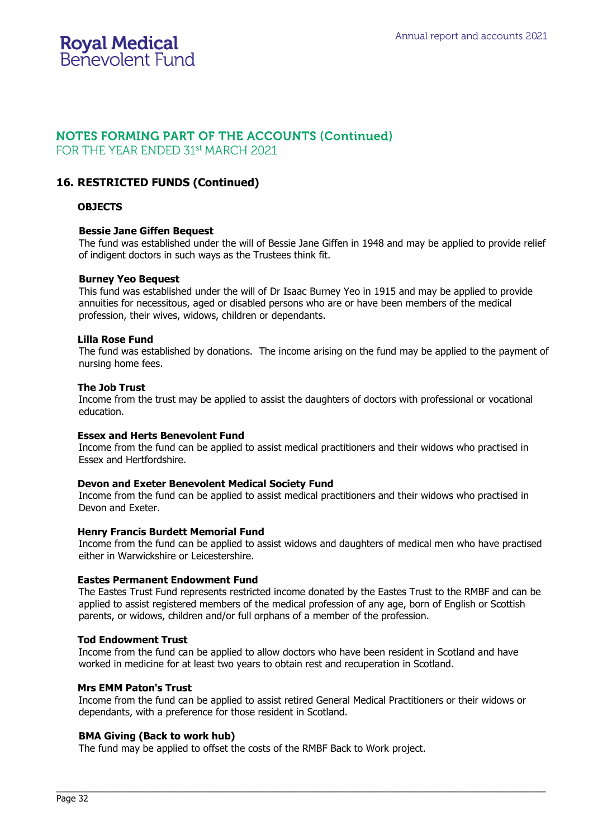# **NOTES FORMING PART OF THE ACCOUNTS (Continued)**

FOR THE YEAR ENDED 31st MARCH 2021

### **16. RESTRICTED FUNDS (Continued)**

### **OBJECTS**

### **Bessie Jane Giffen Bequest**

The fund was established under the will of Bessie Jane Giffen in 1948 and may be applied to provide relief of indigent doctors in such ways as the Trustees think fit.

#### **Burney Yeo Bequest**

This fund was established under the will of Dr Isaac Burney Yeo in 1915 and may be applied to provide annuities for necessitous, aged or disabled persons who are or have been members of the medical profession, their wives, widows, children or dependants.

### **Lilla Rose Fund**

The fund was established by donations. The income arising on the fund may be applied to the payment of nursing home fees.

#### **The Job Trust**

Income from the trust may be applied to assist the daughters of doctors with professional or vocational education.

#### **Essex and Herts Benevolent Fund**

Income from the fund can be applied to assist medical practitioners and their widows who practised in Essex and Hertfordshire.

#### **Devon and Exeter Benevolent Medical Society Fund**

Income from the fund can be applied to assist medical practitioners and their widows who practised in Devon and Exeter.

#### **Henry Francis Burdett Memorial Fund**

Income from the fund can be applied to assist widows and daughters of medical men who have practised either in Warwickshire or Leicestershire.

#### **Eastes Permanent Endowment Fund**

The Eastes Trust Fund represents restricted income donated by the Eastes Trust to the RMBF and can be applied to assist registered members of the medical profession of any age, born of English or Scottish parents, or widows, children and/or full orphans of a member of the profession.

#### **Tod Endowment Trust**

Income from the fund can be applied to allow doctors who have been resident in Scotland and have worked in medicine for at least two years to obtain rest and recuperation in Scotland.

#### **Mrs EMM Paton's Trust**

Income from the fund can be applied to assist retired General Medical Practitioners or their widows or dependants, with a preference for those resident in Scotland.

\_\_\_\_\_\_\_\_\_\_\_\_\_\_\_\_\_\_\_\_\_\_\_\_\_\_\_\_\_\_\_\_\_\_\_\_\_\_\_\_\_\_\_\_\_\_\_\_\_\_\_\_\_\_\_\_\_\_\_\_\_\_\_\_\_\_\_\_\_\_\_\_\_\_\_\_\_\_\_\_\_\_\_\_\_\_\_\_\_\_\_\_\_\_\_\_\_\_\_\_

### **BMA Giving (Back to work hub)**

The fund may be applied to offset the costs of the RMBF Back to Work project.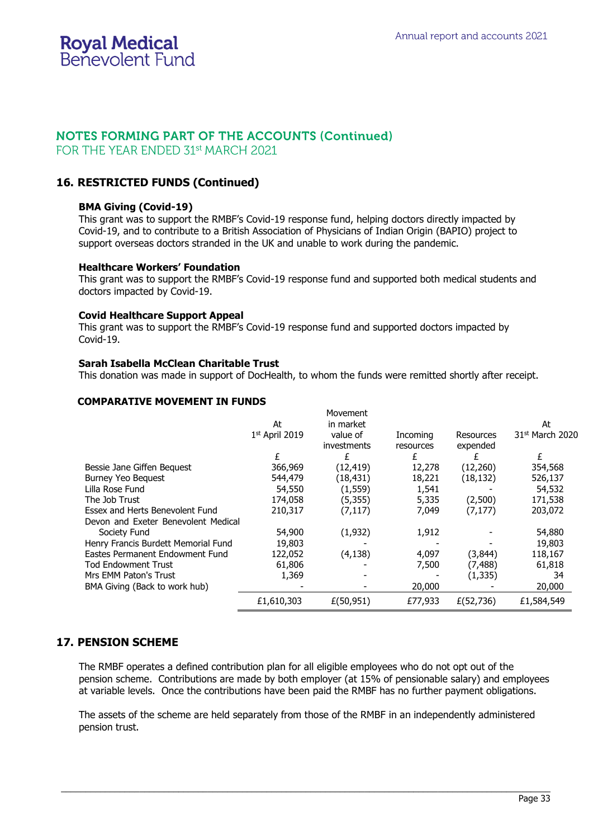# **NOTES FORMING PART OF THE ACCOUNTS (Continued)**

FOR THE YEAR ENDED 31st MARCH 2021

# **16. RESTRICTED FUNDS (Continued)**

### **BMA Giving (Covid-19)**

This grant was to support the RMBF's Covid-19 response fund, helping doctors directly impacted by Covid-19, and to contribute to a British Association of Physicians of Indian Origin (BAPIO) project to support overseas doctors stranded in the UK and unable to work during the pandemic.

### **Healthcare Workers' Foundation**

This grant was to support the RMBF's Covid-19 response fund and supported both medical students and doctors impacted by Covid-19.

### **Covid Healthcare Support Appeal**

This grant was to support the RMBF's Covid-19 response fund and supported doctors impacted by Covid-19.

### **Sarah Isabella McClean Charitable Trust**

This donation was made in support of DocHealth, to whom the funds were remitted shortly after receipt.

### **COMPARATIVE MOVEMENT IN FUNDS**

|                                     |                  | Movement    |           |                  |                 |
|-------------------------------------|------------------|-------------|-----------|------------------|-----------------|
|                                     | At               | in market   |           |                  | At              |
|                                     | $1st$ April 2019 | value of    | Incoming  | <b>Resources</b> | 31st March 2020 |
|                                     |                  | investments | resources | expended         |                 |
|                                     |                  | £           | £         | £                | £               |
| Bessie Jane Giffen Bequest          | 366,969          | (12, 419)   | 12,278    | (12,260)         | 354,568         |
| <b>Burney Yeo Bequest</b>           | 544,479          | (18,431)    | 18,221    | (18, 132)        | 526,137         |
| Lilla Rose Fund                     | 54,550           | (1, 559)    | 1,541     |                  | 54,532          |
| The Job Trust                       | 174,058          | (5,355)     | 5,335     | (2,500)          | 171,538         |
| Essex and Herts Benevolent Fund     | 210,317          | (7, 117)    | 7,049     | (7, 177)         | 203,072         |
| Devon and Exeter Benevolent Medical |                  |             |           |                  |                 |
| Society Fund                        | 54,900           | (1,932)     | 1,912     |                  | 54,880          |
| Henry Francis Burdett Memorial Fund | 19,803           |             |           |                  | 19,803          |
| Eastes Permanent Endowment Fund     | 122,052          | (4, 138)    | 4,097     | (3,844)          | 118,167         |
| <b>Tod Endowment Trust</b>          | 61,806           |             | 7,500     | (7, 488)         | 61,818          |
| Mrs EMM Paton's Trust               | 1,369            |             |           | (1, 335)         | 34              |
| BMA Giving (Back to work hub)       |                  |             | 20,000    |                  | 20,000          |
|                                     | £1,610,303       | E(50, 951)  | £77,933   | E(52,736)        | £1,584,549      |

### **17. PENSION SCHEME**

The RMBF operates a defined contribution plan for all eligible employees who do not opt out of the pension scheme. Contributions are made by both employer (at 15% of pensionable salary) and employees at variable levels. Once the contributions have been paid the RMBF has no further payment obligations.

The assets of the scheme are held separately from those of the RMBF in an independently administered pension trust.